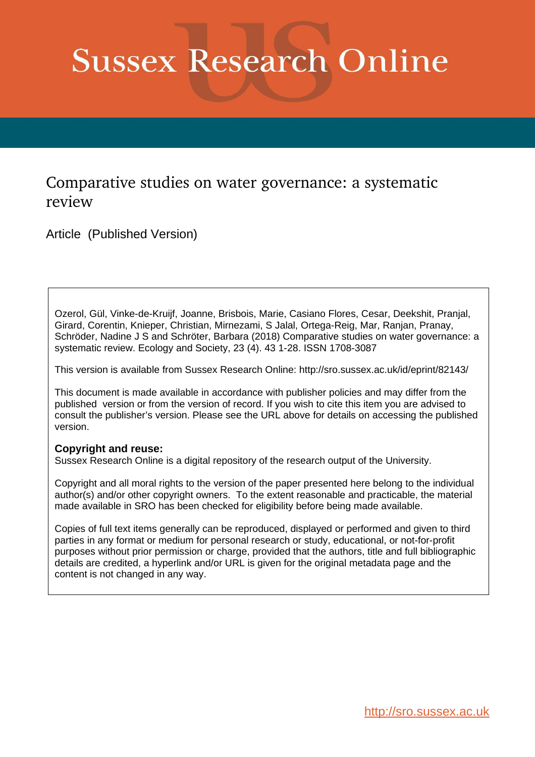# **Sussex Research Online**

# Comparative studies on water governance: a systematic review

Article (Published Version)

Ozerol, Gül, Vinke-de-Kruijf, Joanne, Brisbois, Marie, Casiano Flores, Cesar, Deekshit, Pranjal, Girard, Corentin, Knieper, Christian, Mirnezami, S Jalal, Ortega-Reig, Mar, Ranjan, Pranay, Schröder, Nadine J S and Schröter, Barbara (2018) Comparative studies on water governance: a systematic review. Ecology and Society, 23 (4). 43 1-28. ISSN 1708-3087

This version is available from Sussex Research Online: http://sro.sussex.ac.uk/id/eprint/82143/

This document is made available in accordance with publisher policies and may differ from the published version or from the version of record. If you wish to cite this item you are advised to consult the publisher's version. Please see the URL above for details on accessing the published version.

### **Copyright and reuse:**

Sussex Research Online is a digital repository of the research output of the University.

Copyright and all moral rights to the version of the paper presented here belong to the individual author(s) and/or other copyright owners. To the extent reasonable and practicable, the material made available in SRO has been checked for eligibility before being made available.

Copies of full text items generally can be reproduced, displayed or performed and given to third parties in any format or medium for personal research or study, educational, or not-for-profit purposes without prior permission or charge, provided that the authors, title and full bibliographic details are credited, a hyperlink and/or URL is given for the original metadata page and the content is not changed in any way.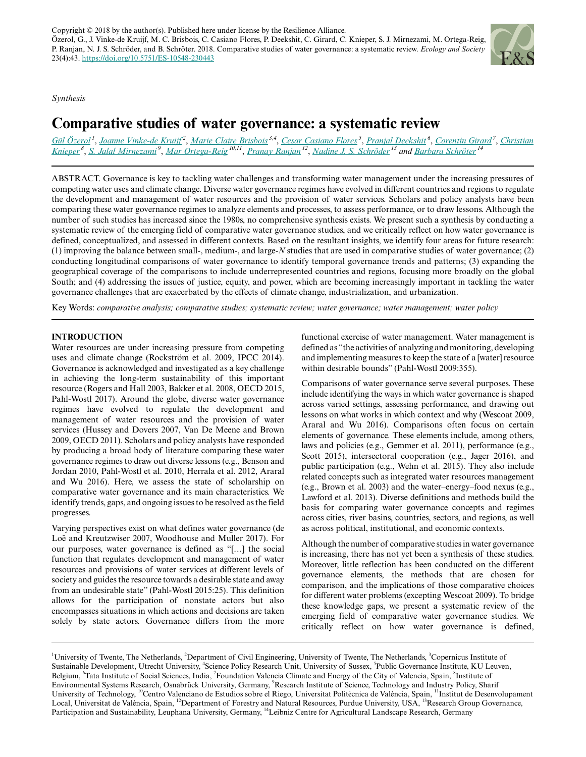Copyright © 2018 by the author(s). Published here under license by the Resilience Alliance. Özerol, G., J. Vinke-de Kruijf, M. C. Brisbois, C. Casiano Flores, P. Deekshit, C. Girard, C. Knieper, S. J. Mirnezami, M. Ortega-Reig, P. Ranjan, N. J. S. Schröder, and B. Schröter. 2018. Comparative studies of water governance: a systematic review. *Ecology and Society* 23(4):43. <https://doi.org/10.5751/ES-10548-230443>

*Synthesis*

## **Comparative studies of water governance: a systematic review**

<u>[Gül Özerol](mailto:g.ozerol@utwente.nl)<sup>1</sup>, [Joanne Vinke-de Kruijf](mailto:joanne.vinke@utwente.nl)<sup>2</sup>, [Marie Claire Brisbois](mailto:m.c.brisbois@sussex.ac.uk)<sup>3,4</sup>, [Cesar Casiano Flores](mailto:cesar.casiano@kuleuven.be)<sup>5</sup>, [Pranjal Deekshit](mailto:pranjaldixit@gmail.com)<sup>6</sup>, [Corentin Girard](mailto:Corentin.girard@canviclimatic.org)<sup>7</sup>, [Christian](mailto:cknieper@uos.de)</u> *[Knieper](mailto:cknieper@uos.de)<sup>8</sup>* , *[S. Jalal Mirnezami](mailto:j.mirnezami@outlook.com)<sup>9</sup>* , *[Mar Ortega-Reig](mailto:marorrei@upv.es) 10,11* , *[Pranay Ranjan](mailto:ranjanp@purdue.edu)<sup>12</sup>* , *[Nadine J. S. Schröder](mailto:nadine.schroeder@stud.leuphana.de)<sup>13</sup> and [Barbara Schröter](mailto:barbara.schroeter@zalf.de)<sup>14</sup>*

ABSTRACT. Governance is key to tackling water challenges and transforming water management under the increasing pressures of competing water uses and climate change. Diverse water governance regimes have evolved in different countries and regions to regulate the development and management of water resources and the provision of water services. Scholars and policy analysts have been comparing these water governance regimes to analyze elements and processes, to assess performance, or to draw lessons. Although the number of such studies has increased since the 1980s, no comprehensive synthesis exists. We present such a synthesis by conducting a systematic review of the emerging field of comparative water governance studies, and we critically reflect on how water governance is defined, conceptualized, and assessed in different contexts. Based on the resultant insights, we identify four areas for future research: (1) improving the balance between small-, medium-, and large-*N* studies that are used in comparative studies of water governance; (2) conducting longitudinal comparisons of water governance to identify temporal governance trends and patterns; (3) expanding the geographical coverage of the comparisons to include underrepresented countries and regions, focusing more broadly on the global South; and (4) addressing the issues of justice, equity, and power, which are becoming increasingly important in tackling the water governance challenges that are exacerbated by the effects of climate change, industrialization, and urbanization.

Key Words: *comparative analysis; comparative studies; systematic review; water governance; water management; water policy*

#### **INTRODUCTION**

Water resources are under increasing pressure from competing uses and climate change (Rockström et al. 2009, IPCC 2014). Governance is acknowledged and investigated as a key challenge in achieving the long-term sustainability of this important resource (Rogers and Hall 2003, Bakker et al. 2008, OECD 2015, Pahl-Wostl 2017). Around the globe, diverse water governance regimes have evolved to regulate the development and management of water resources and the provision of water services (Hussey and Dovers 2007, Van De Meene and Brown 2009, OECD 2011). Scholars and policy analysts have responded by producing a broad body of literature comparing these water governance regimes to draw out diverse lessons (e.g., Benson and Jordan 2010, Pahl-Wostl et al. 2010, Herrala et al. 2012, Araral and Wu 2016). Here, we assess the state of scholarship on comparative water governance and its main characteristics. We identify trends, gaps, and ongoing issues to be resolved as the field progresses.

Varying perspectives exist on what defines water governance (de Loë and Kreutzwiser 2007, Woodhouse and Muller 2017). For our purposes, water governance is defined as "[…] the social function that regulates development and management of water resources and provisions of water services at different levels of society and guides the resource towards a desirable state and away from an undesirable state" (Pahl-Wostl 2015:25). This definition allows for the participation of nonstate actors but also encompasses situations in which actions and decisions are taken solely by state actors. Governance differs from the more

functional exercise of water management. Water management is defined as "the activities of analyzing and monitoring, developing and implementing measures to keep the state of a [water] resource within desirable bounds" (Pahl-Wostl 2009:355).

Comparisons of water governance serve several purposes. These include identifying the ways in which water governance is shaped across varied settings, assessing performance, and drawing out lessons on what works in which context and why (Wescoat 2009, Araral and Wu 2016). Comparisons often focus on certain elements of governance. These elements include, among others, laws and policies (e.g., Gemmer et al. 2011), performance (e.g., Scott 2015), intersectoral cooperation (e.g., Jager 2016), and public participation (e.g., Wehn et al. 2015). They also include related concepts such as integrated water resources management (e.g., Brown et al. 2003) and the water–energy–food nexus (e.g., Lawford et al. 2013). Diverse definitions and methods build the basis for comparing water governance concepts and regimes across cities, river basins, countries, sectors, and regions, as well as across political, institutional, and economic contexts.

Although the number of comparative studies in water governance is increasing, there has not yet been a synthesis of these studies. Moreover, little reflection has been conducted on the different governance elements, the methods that are chosen for comparison, and the implications of those comparative choices for different water problems (excepting Wescoat 2009). To bridge these knowledge gaps, we present a systematic review of the emerging field of comparative water governance studies. We critically reflect on how water governance is defined,

<sup>&</sup>lt;sup>1</sup>University of Twente, The Netherlands, <sup>2</sup>Department of Civil Engineering, University of Twente, The Netherlands, <sup>3</sup>Copernicus Institute of Sustainable Development, Utrecht University, <sup>4</sup>Science Policy Research Unit, University of Sussex, <sup>5</sup>Public Governance Institute, KU Leuven, Belgium, <sup>6</sup>Tata Institute of Social Sciences, India, <sup>7</sup>Foundation Valencia Climate and Energy of the City of Valencia, Spain, <sup>8</sup>Institute of Environmental Systems Research, Osnabrück University, Germany, <sup>9</sup>Research Institute of Science, Technology and Industry Policy, Sharif University of Technology, <sup>10</sup>Centro Valenciano de Estudios sobre el Riego, Universitat Politècnica de València, Spain, <sup>11</sup>Institut de Desenvolupament Local, Universitat de València, Spain, <sup>12</sup>Department of Forestry and Natural Resources, Purdue University, USA, <sup>13</sup>Research Group Governance, Participation and Sustainability, Leuphana University, Germany, <sup>14</sup>Leibniz Centre for Agricultural Landscape Research, Germany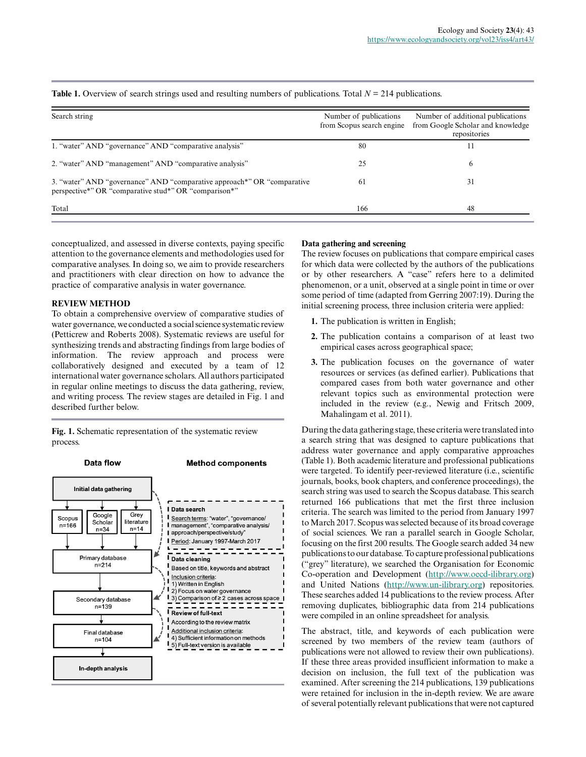| Search string                                                                                                                    | Number of publications<br>from Scopus search engine | Number of additional publications<br>from Google Scholar and knowledge<br>repositories |
|----------------------------------------------------------------------------------------------------------------------------------|-----------------------------------------------------|----------------------------------------------------------------------------------------|
| 1. "water" AND "governance" AND "comparative analysis"                                                                           | 80                                                  | 11                                                                                     |
| 2. "water" AND "management" AND "comparative analysis"                                                                           | 25                                                  | 6                                                                                      |
| 3. "water" AND "governance" AND "comparative approach*" OR "comparative<br>perspective*" OR "comparative stud*" OR "comparison*" | 61                                                  | 31                                                                                     |
| Total                                                                                                                            | 166                                                 | 48                                                                                     |

**Table 1.** Overview of search strings used and resulting numbers of publications. Total *N* = 214 publications.

conceptualized, and assessed in diverse contexts, paying specific attention to the governance elements and methodologies used for comparative analyses. In doing so, we aim to provide researchers and practitioners with clear direction on how to advance the practice of comparative analysis in water governance.

#### **REVIEW METHOD**

To obtain a comprehensive overview of comparative studies of water governance, we conducted a social science systematic review (Petticrew and Roberts 2008). Systematic reviews are useful for synthesizing trends and abstracting findings from large bodies of information. The review approach and process were collaboratively designed and executed by a team of 12 international water governance scholars. All authors participated in regular online meetings to discuss the data gathering, review, and writing process. The review stages are detailed in Fig. 1 and described further below.

**Fig. 1.** Schematic representation of the systematic review process.



#### **Data gathering and screening**

The review focuses on publications that compare empirical cases for which data were collected by the authors of the publications or by other researchers. A "case" refers here to a delimited phenomenon, or a unit, observed at a single point in time or over some period of time (adapted from Gerring 2007:19). During the initial screening process, three inclusion criteria were applied:

- **1.** The publication is written in English;
- **2.** The publication contains a comparison of at least two empirical cases across geographical space;
- **3.** The publication focuses on the governance of water resources or services (as defined earlier). Publications that compared cases from both water governance and other relevant topics such as environmental protection were included in the review (e.g., Newig and Fritsch 2009, Mahalingam et al. 2011).

During the data gathering stage, these criteria were translated into a search string that was designed to capture publications that address water governance and apply comparative approaches (Table 1). Both academic literature and professional publications were targeted. To identify peer-reviewed literature (i.e., scientific journals, books, book chapters, and conference proceedings), the search string was used to search the Scopus database. This search returned 166 publications that met the first three inclusion criteria. The search was limited to the period from January 1997 to March 2017. Scopus was selected because of its broad coverage of social sciences. We ran a parallel search in Google Scholar, focusing on the first 200 results. The Google search added 34 new publications to our database. To capture professional publications ("grey" literature), we searched the Organisation for Economic Co-operation and Development (<http://www.oecd-ilibrary.org>) and United Nations [\(http://www.un-ilibrary.org\)](http://www.un-ilibrary.org) repositories. These searches added 14 publications to the review process. After removing duplicates, bibliographic data from 214 publications were compiled in an online spreadsheet for analysis.

The abstract, title, and keywords of each publication were screened by two members of the review team (authors of publications were not allowed to review their own publications). If these three areas provided insufficient information to make a decision on inclusion, the full text of the publication was examined. After screening the 214 publications, 139 publications were retained for inclusion in the in-depth review. We are aware of several potentially relevant publications that were not captured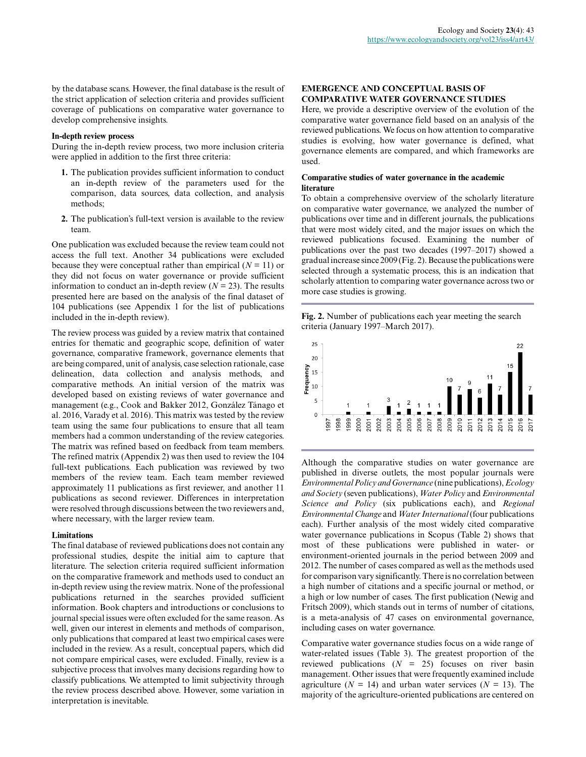by the database scans. However, the final database is the result of the strict application of selection criteria and provides sufficient coverage of publications on comparative water governance to develop comprehensive insights.

#### **In-depth review process**

During the in-depth review process, two more inclusion criteria were applied in addition to the first three criteria:

- **1.** The publication provides sufficient information to conduct an in-depth review of the parameters used for the comparison, data sources, data collection, and analysis methods;
- **2.** The publication's full-text version is available to the review team.

One publication was excluded because the review team could not access the full text. Another 34 publications were excluded because they were conceptual rather than empirical  $(N = 11)$  or they did not focus on water governance or provide sufficient information to conduct an in-depth review  $(N = 23)$ . The results presented here are based on the analysis of the final dataset of 104 publications (see Appendix 1 for the list of publications included in the in-depth review).

The review process was guided by a review matrix that contained entries for thematic and geographic scope, definition of water governance, comparative framework, governance elements that are being compared, unit of analysis, case selection rationale, case delineation, data collection and analysis methods, and comparative methods. An initial version of the matrix was developed based on existing reviews of water governance and management (e.g., Cook and Bakker 2012, González Tánago et al. 2016, Varady et al. 2016). This matrix was tested by the review team using the same four publications to ensure that all team members had a common understanding of the review categories. The matrix was refined based on feedback from team members. The refined matrix (Appendix 2) was then used to review the 104 full-text publications. Each publication was reviewed by two members of the review team. Each team member reviewed approximately 11 publications as first reviewer, and another 11 publications as second reviewer. Differences in interpretation were resolved through discussions between the two reviewers and, where necessary, with the larger review team.

#### **Limitations**

The final database of reviewed publications does not contain any professional studies, despite the initial aim to capture that literature. The selection criteria required sufficient information on the comparative framework and methods used to conduct an in-depth review using the review matrix. None of the professional publications returned in the searches provided sufficient information. Book chapters and introductions or conclusions to journal special issues were often excluded for the same reason. As well, given our interest in elements and methods of comparison, only publications that compared at least two empirical cases were included in the review. As a result, conceptual papers, which did not compare empirical cases, were excluded. Finally, review is a subjective process that involves many decisions regarding how to classify publications. We attempted to limit subjectivity through the review process described above. However, some variation in interpretation is inevitable.

#### **EMERGENCE AND CONCEPTUAL BASIS OF COMPARATIVE WATER GOVERNANCE STUDIES**

Here, we provide a descriptive overview of the evolution of the comparative water governance field based on an analysis of the reviewed publications. We focus on how attention to comparative studies is evolving, how water governance is defined, what governance elements are compared, and which frameworks are used.

#### **Comparative studies of water governance in the academic literature**

To obtain a comprehensive overview of the scholarly literature on comparative water governance, we analyzed the number of publications over time and in different journals, the publications that were most widely cited, and the major issues on which the reviewed publications focused. Examining the number of publications over the past two decades (1997–2017) showed a gradual increase since 2009 (Fig. 2). Because the publications were selected through a systematic process, this is an indication that scholarly attention to comparing water governance across two or more case studies is growing.

**Fig. 2.** Number of publications each year meeting the search criteria (January 1997–March 2017).



Although the comparative studies on water governance are published in diverse outlets, the most popular journals were *Environmental Policy and Governance* (nine publications), *Ecology and Society* (seven publications), *Water Policy* and *Environmental Science and Policy* (six publications each), and *Regional Environmental Change* and *Water International* (four publications each). Further analysis of the most widely cited comparative water governance publications in Scopus (Table 2) shows that most of these publications were published in water- or environment-oriented journals in the period between 2009 and 2012. The number of cases compared as well as the methods used for comparison vary significantly. There is no correlation between a high number of citations and a specific journal or method, or a high or low number of cases. The first publication (Newig and Fritsch 2009), which stands out in terms of number of citations, is a meta-analysis of 47 cases on environmental governance, including cases on water governance.

Comparative water governance studies focus on a wide range of water-related issues (Table 3). The greatest proportion of the reviewed publications (*N* = 25) focuses on river basin management. Other issues that were frequently examined include agriculture ( $N = 14$ ) and urban water services ( $N = 13$ ). The majority of the agriculture-oriented publications are centered on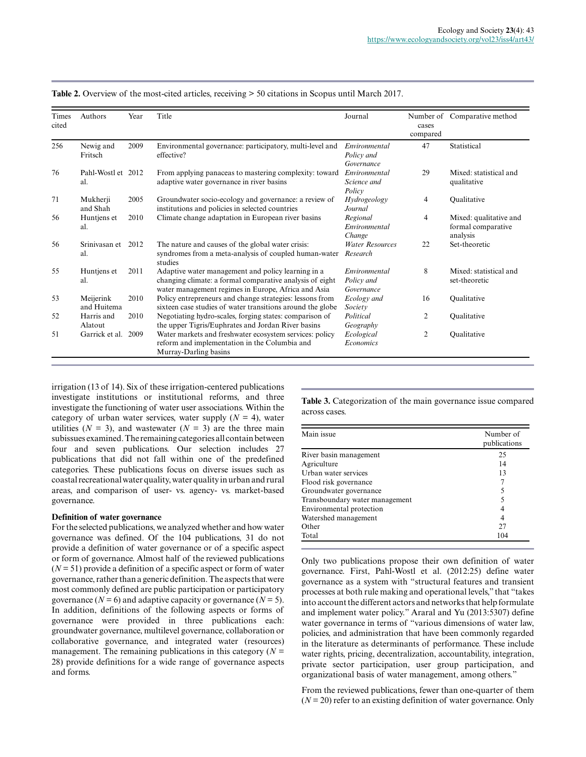| Times<br>cited | Authors                   | Year | Title                                                                                                                                                                 | Journal                                   | cases<br>compared | Number of Comparative method                             |
|----------------|---------------------------|------|-----------------------------------------------------------------------------------------------------------------------------------------------------------------------|-------------------------------------------|-------------------|----------------------------------------------------------|
| 256            | Newig and<br>Fritsch      | 2009 | Environmental governance: participatory, multi-level and<br>effective?                                                                                                | Environmental<br>Policy and<br>Governance | 47                | Statistical                                              |
| 76             | Pahl-Wostl et 2012<br>al. |      | From applying panaceas to mastering complexity: toward<br>adaptive water governance in river basins                                                                   | Environmental<br>Science and<br>Policy    | 29                | Mixed: statistical and<br>qualitative                    |
| 71             | Mukherji<br>and Shah      | 2005 | Groundwater socio-ecology and governance: a review of<br>institutions and policies in selected countries                                                              | Hydrogeology<br>Journal                   | 4                 | Qualitative                                              |
| 56             | Huntjens et<br>al.        | 2010 | Climate change adaptation in European river basins                                                                                                                    | Regional<br>Environmental<br>Change       | 4                 | Mixed: qualitative and<br>formal comparative<br>analysis |
| 56             | Srinivasan et<br>al.      | 2012 | The nature and causes of the global water crisis:<br>syndromes from a meta-analysis of coupled human-water<br>studies                                                 | <b>Water Resources</b><br>Research        | 22                | Set-theoretic                                            |
| 55             | Huntjens et<br>al.        | 2011 | Adaptive water management and policy learning in a<br>changing climate: a formal comparative analysis of eight<br>water management regimes in Europe, Africa and Asia | Environmental<br>Policy and<br>Governance | 8                 | Mixed: statistical and<br>set-theoretic                  |
| 53             | Meijerink<br>and Huitema  | 2010 | Policy entrepreneurs and change strategies: lessons from<br>sixteen case studies of water transitions around the globe                                                | Ecology and<br>Society                    | 16                | Qualitative                                              |
| 52             | Harris and<br>Alatout     | 2010 | Negotiating hydro-scales, forging states: comparison of<br>the upper Tigris/Euphrates and Jordan River basins                                                         | Political<br>Geography                    | 2                 | Qualitative                                              |
| 51             | Garrick et al.            | 2009 | Water markets and freshwater ecosystem services: policy<br>reform and implementation in the Columbia and<br>Murray-Darling basins                                     | Ecological<br>Economics                   | 2                 | Oualitative                                              |

**Table 2.** Overview of the most-cited articles, receiving > 50 citations in Scopus until March 2017.

irrigation (13 of 14). Six of these irrigation-centered publications investigate institutions or institutional reforms, and three investigate the functioning of water user associations. Within the category of urban water services, water supply  $(N = 4)$ , water utilities  $(N = 3)$ , and wastewater  $(N = 3)$  are the three main subissues examined. The remaining categories all contain between four and seven publications. Our selection includes 27 publications that did not fall within one of the predefined categories. These publications focus on diverse issues such as coastal recreational water quality, water quality in urban and rural areas, and comparison of user- vs. agency- vs. market-based governance.

#### **Definition of water governance**

For the selected publications, we analyzed whether and how water governance was defined. Of the 104 publications, 31 do not provide a definition of water governance or of a specific aspect or form of governance. Almost half of the reviewed publications (*N* = 51) provide a definition of a specific aspect or form of water governance, rather than a generic definition. The aspects that were most commonly defined are public participation or participatory governance ( $N = 6$ ) and adaptive capacity or governance ( $N = 5$ ). In addition, definitions of the following aspects or forms of governance were provided in three publications each: groundwater governance, multilevel governance, collaboration or collaborative governance, and integrated water (resources) management. The remaining publications in this category  $(N =$ 28) provide definitions for a wide range of governance aspects and forms.

**Table 3.** Categorization of the main governance issue compared across cases.

| Main issue                     | Number of<br>publications |
|--------------------------------|---------------------------|
| River basin management         | 25                        |
| Agriculture                    | 14                        |
| Urban water services           | 13                        |
| Flood risk governance          |                           |
| Groundwater governance         |                           |
| Transboundary water management |                           |
| Environmental protection       |                           |
| Watershed management           |                           |
| Other                          | 27                        |
| Total                          | 104                       |

Only two publications propose their own definition of water governance. First, Pahl-Wostl et al. (2012:25) define water governance as a system with "structural features and transient processes at both rule making and operational levels," that "takes into account the different actors and networks that help formulate and implement water policy." Araral and Yu (2013:5307) define water governance in terms of "various dimensions of water law, policies, and administration that have been commonly regarded in the literature as determinants of performance. These include water rights, pricing, decentralization, accountability, integration, private sector participation, user group participation, and organizational basis of water management, among others."

From the reviewed publications, fewer than one-quarter of them  $(N = 20)$  refer to an existing definition of water governance. Only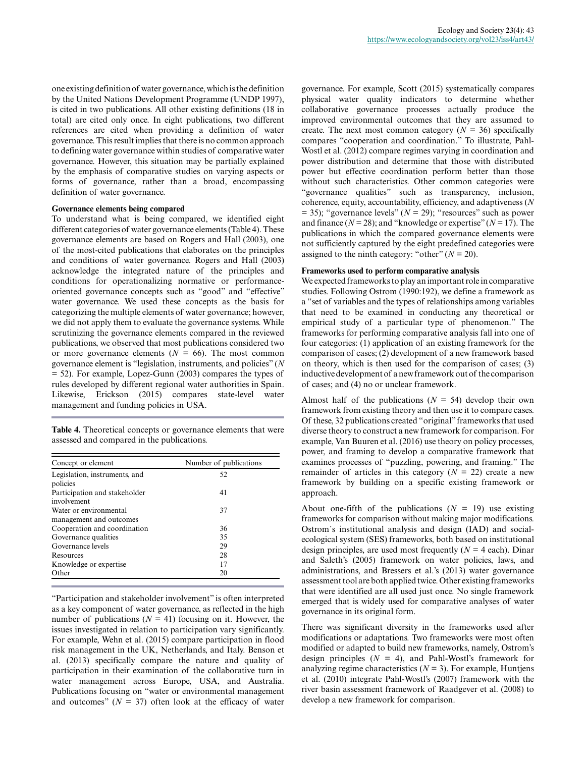one existing definition of water governance, which is the definition by the United Nations Development Programme (UNDP 1997), is cited in two publications. All other existing definitions (18 in total) are cited only once. In eight publications, two different references are cited when providing a definition of water governance. This result implies that there is no common approach to defining water governance within studies of comparative water governance. However, this situation may be partially explained by the emphasis of comparative studies on varying aspects or forms of governance, rather than a broad, encompassing definition of water governance.

#### **Governance elements being compared**

To understand what is being compared, we identified eight different categories of water governance elements (Table 4). These governance elements are based on Rogers and Hall (2003), one of the most-cited publications that elaborates on the principles and conditions of water governance. Rogers and Hall (2003) acknowledge the integrated nature of the principles and conditions for operationalizing normative or performanceoriented governance concepts such as "good" and "effective" water governance. We used these concepts as the basis for categorizing the multiple elements of water governance; however, we did not apply them to evaluate the governance systems. While scrutinizing the governance elements compared in the reviewed publications, we observed that most publications considered two or more governance elements  $(N = 66)$ . The most common governance element is "legislation, instruments, and policies" (*N* = 52). For example, Lopez-Gunn (2003) compares the types of rules developed by different regional water authorities in Spain. Likewise, Erickson (2015) compares state-level water management and funding policies in USA.

**Table 4.** Theoretical concepts or governance elements that were assessed and compared in the publications.

| Concept or element            | Number of publications |
|-------------------------------|------------------------|
| Legislation, instruments, and | 52                     |
| policies                      |                        |
| Participation and stakeholder | 41                     |
| involvement                   |                        |
| Water or environmental        | 37                     |
| management and outcomes       |                        |
| Cooperation and coordination  | 36                     |
| Governance qualities          | 35                     |
| Governance levels             | 29                     |
| Resources                     | 28                     |
| Knowledge or expertise        | 17                     |
| Other                         | 20                     |

"Participation and stakeholder involvement" is often interpreted as a key component of water governance, as reflected in the high number of publications  $(N = 41)$  focusing on it. However, the issues investigated in relation to participation vary significantly. For example, Wehn et al. (2015) compare participation in flood risk management in the UK, Netherlands, and Italy. Benson et al. (2013) specifically compare the nature and quality of participation in their examination of the collaborative turn in water management across Europe, USA, and Australia. Publications focusing on "water or environmental management and outcomes"  $(N = 37)$  often look at the efficacy of water

governance. For example, Scott (2015) systematically compares physical water quality indicators to determine whether collaborative governance processes actually produce the improved environmental outcomes that they are assumed to create. The next most common category ( $N = 36$ ) specifically compares "cooperation and coordination." To illustrate, Pahl-Wostl et al. (2012) compare regimes varying in coordination and power distribution and determine that those with distributed power but effective coordination perform better than those without such characteristics. Other common categories were "governance qualities" such as transparency, inclusion, coherence, equity, accountability, efficiency, and adaptiveness (*N*  $=$  35); "governance levels" ( $N = 29$ ); "resources" such as power and finance ( $N = 28$ ); and "knowledge or expertise" ( $N = 17$ ). The publications in which the compared governance elements were not sufficiently captured by the eight predefined categories were assigned to the ninth category: "other"  $(N = 20)$ .

#### **Frameworks used to perform comparative analysis**

We expected frameworks to play an important role in comparative studies. Following Ostrom (1990:192), we define a framework as a "set of variables and the types of relationships among variables that need to be examined in conducting any theoretical or empirical study of a particular type of phenomenon." The frameworks for performing comparative analysis fall into one of four categories: (1) application of an existing framework for the comparison of cases; (2) development of a new framework based on theory, which is then used for the comparison of cases; (3) inductive development of a new framework out of the comparison of cases; and (4) no or unclear framework.

Almost half of the publications  $(N = 54)$  develop their own framework from existing theory and then use it to compare cases. Of these, 32 publications created "original" frameworks that used diverse theory to construct a new framework for comparison. For example, Van Buuren et al. (2016) use theory on policy processes, power, and framing to develop a comparative framework that examines processes of "puzzling, powering, and framing." The remainder of articles in this category  $(N = 22)$  create a new framework by building on a specific existing framework or approach.

About one-fifth of the publications  $(N = 19)$  use existing frameworks for comparison without making major modifications. Ostrom´s institutional analysis and design (IAD) and socialecological system (SES) frameworks, both based on institutional design principles, are used most frequently  $(N = 4 \text{ each})$ . Dinar and Saleth's (2005) framework on water policies, laws, and administrations, and Bressers et al.'s (2013) water governance assessment tool are both applied twice. Other existing frameworks that were identified are all used just once. No single framework emerged that is widely used for comparative analyses of water governance in its original form.

There was significant diversity in the frameworks used after modifications or adaptations. Two frameworks were most often modified or adapted to build new frameworks, namely, Ostrom's design principles  $(N = 4)$ , and Pahl-Wostl's framework for analyzing regime characteristics  $(N = 3)$ . For example, Huntjens et al. (2010) integrate Pahl-Wostl's (2007) framework with the river basin assessment framework of Raadgever et al. (2008) to develop a new framework for comparison.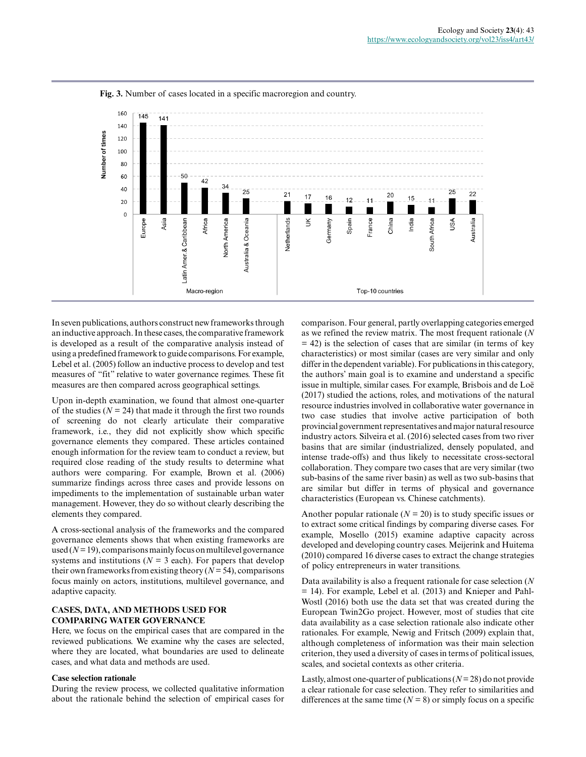

**Fig. 3.** Number of cases located in a specific macroregion and country.

In seven publications, authors construct new frameworks through an inductive approach. In these cases, the comparative framework is developed as a result of the comparative analysis instead of using a predefined framework to guide comparisons. For example, Lebel et al. (2005) follow an inductive process to develop and test measures of "fit" relative to water governance regimes. These fit measures are then compared across geographical settings.

Upon in-depth examination, we found that almost one-quarter of the studies ( $N = 24$ ) that made it through the first two rounds of screening do not clearly articulate their comparative framework, i.e., they did not explicitly show which specific governance elements they compared. These articles contained enough information for the review team to conduct a review, but required close reading of the study results to determine what authors were comparing. For example, Brown et al. (2006) summarize findings across three cases and provide lessons on impediments to the implementation of sustainable urban water management. However, they do so without clearly describing the elements they compared.

A cross-sectional analysis of the frameworks and the compared governance elements shows that when existing frameworks are used  $(N=19)$ , comparisons mainly focus on multilevel governance systems and institutions ( $N = 3$  each). For papers that develop their own frameworks from existing theory  $(N = 54)$ , comparisons focus mainly on actors, institutions, multilevel governance, and adaptive capacity.

#### **CASES, DATA, AND METHODS USED FOR COMPARING WATER GOVERNANCE**

Here, we focus on the empirical cases that are compared in the reviewed publications. We examine why the cases are selected, where they are located, what boundaries are used to delineate cases, and what data and methods are used.

#### **Case selection rationale**

During the review process, we collected qualitative information about the rationale behind the selection of empirical cases for

comparison. Four general, partly overlapping categories emerged as we refined the review matrix. The most frequent rationale (*N*  $= 42$ ) is the selection of cases that are similar (in terms of key characteristics) or most similar (cases are very similar and only differ in the dependent variable). For publications in this category, the authors' main goal is to examine and understand a specific issue in multiple, similar cases. For example, Brisbois and de Loë (2017) studied the actions, roles, and motivations of the natural resource industries involved in collaborative water governance in two case studies that involve active participation of both provincial government representatives and major natural resource industry actors. Silveira et al. (2016) selected cases from two river basins that are similar (industrialized, densely populated, and intense trade-offs) and thus likely to necessitate cross-sectoral collaboration. They compare two cases that are very similar (two sub-basins of the same river basin) as well as two sub-basins that are similar but differ in terms of physical and governance characteristics (European vs. Chinese catchments).

Another popular rationale  $(N = 20)$  is to study specific issues or to extract some critical findings by comparing diverse cases. For example, Mosello (2015) examine adaptive capacity across developed and developing country cases. Meijerink and Huitema (2010) compared 16 diverse cases to extract the change strategies of policy entrepreneurs in water transitions.

Data availability is also a frequent rationale for case selection (*N* = 14). For example, Lebel et al. (2013) and Knieper and Pahl-Wostl (2016) both use the data set that was created during the European Twin2Go project. However, most of studies that cite data availability as a case selection rationale also indicate other rationales. For example, Newig and Fritsch (2009) explain that, although completeness of information was their main selection criterion, they used a diversity of cases in terms of political issues, scales, and societal contexts as other criteria.

Lastly, almost one-quarter of publications  $(N=28)$  do not provide a clear rationale for case selection. They refer to similarities and differences at the same time  $(N = 8)$  or simply focus on a specific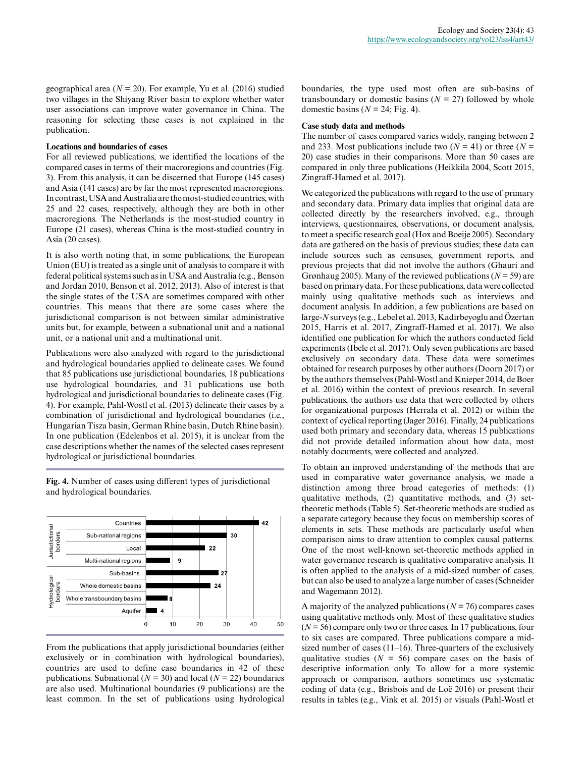geographical area  $(N = 20)$ . For example, Yu et al. (2016) studied two villages in the Shiyang River basin to explore whether water user associations can improve water governance in China. The reasoning for selecting these cases is not explained in the publication.

#### **Locations and boundaries of cases**

For all reviewed publications, we identified the locations of the compared cases in terms of their macroregions and countries (Fig. 3). From this analysis, it can be discerned that Europe (145 cases) and Asia (141 cases) are by far the most represented macroregions. In contrast, USA and Australia are the most-studied countries, with 25 and 22 cases, respectively, although they are both in other macroregions. The Netherlands is the most-studied country in Europe (21 cases), whereas China is the most-studied country in Asia (20 cases).

It is also worth noting that, in some publications, the European Union (EU) is treated as a single unit of analysis to compare it with federal political systems such as in USA and Australia (e.g., Benson and Jordan 2010, Benson et al. 2012, 2013). Also of interest is that the single states of the USA are sometimes compared with other countries. This means that there are some cases where the jurisdictional comparison is not between similar administrative units but, for example, between a subnational unit and a national unit, or a national unit and a multinational unit.

Publications were also analyzed with regard to the jurisdictional and hydrological boundaries applied to delineate cases. We found that 85 publications use jurisdictional boundaries, 18 publications use hydrological boundaries, and 31 publications use both hydrological and jurisdictional boundaries to delineate cases (Fig. 4). For example, Pahl-Wostl et al. (2013) delineate their cases by a combination of jurisdictional and hydrological boundaries (i.e., Hungarian Tisza basin, German Rhine basin, Dutch Rhine basin). In one publication (Edelenbos et al. 2015), it is unclear from the case descriptions whether the names of the selected cases represent hydrological or jurisdictional boundaries.

**Fig. 4.** Number of cases using different types of jurisdictional and hydrological boundaries.



From the publications that apply jurisdictional boundaries (either exclusively or in combination with hydrological boundaries), countries are used to define case boundaries in 42 of these publications. Subnational ( $N = 30$ ) and local ( $N = 22$ ) boundaries are also used. Multinational boundaries (9 publications) are the least common. In the set of publications using hydrological

boundaries, the type used most often are sub-basins of transboundary or domestic basins  $(N = 27)$  followed by whole domestic basins ( $N = 24$ ; Fig. 4).

#### **Case study data and methods**

The number of cases compared varies widely, ranging between 2 and 233. Most publications include two  $(N = 41)$  or three  $(N = 41)$ 20) case studies in their comparisons. More than 50 cases are compared in only three publications (Heikkila 2004, Scott 2015, Zingraff-Hamed et al. 2017).

We categorized the publications with regard to the use of primary and secondary data. Primary data implies that original data are collected directly by the researchers involved, e.g., through interviews, questionnaires, observations, or document analysis, to meet a specific research goal (Hox and Boeije 2005). Secondary data are gathered on the basis of previous studies; these data can include sources such as censuses, government reports, and previous projects that did not involve the authors (Ghauri and Grønhaug 2005). Many of the reviewed publications ( $N = 59$ ) are based on primary data. For these publications, data were collected mainly using qualitative methods such as interviews and document analysis. In addition, a few publications are based on large-*N* surveys (e.g., Lebel et al. 2013, Kadirbeyoglu and Özertan 2015, Harris et al. 2017, Zingraff-Hamed et al. 2017). We also identified one publication for which the authors conducted field experiments (Ibele et al. 2017). Only seven publications are based exclusively on secondary data. These data were sometimes obtained for research purposes by other authors (Doorn 2017) or by the authors themselves (Pahl-Wostl and Knieper 2014, de Boer et al. 2016) within the context of previous research. In several publications, the authors use data that were collected by others for organizational purposes (Herrala et al. 2012) or within the context of cyclical reporting (Jager 2016). Finally, 24 publications used both primary and secondary data, whereas 15 publications did not provide detailed information about how data, most notably documents, were collected and analyzed.

To obtain an improved understanding of the methods that are used in comparative water governance analysis, we made a distinction among three broad categories of methods: (1) qualitative methods, (2) quantitative methods, and (3) settheoretic methods (Table 5). Set-theoretic methods are studied as a separate category because they focus on membership scores of elements in sets. These methods are particularly useful when comparison aims to draw attention to complex causal patterns. One of the most well-known set-theoretic methods applied in water governance research is qualitative comparative analysis. It is often applied to the analysis of a mid-sized number of cases, but can also be used to analyze a large number of cases (Schneider and Wagemann 2012).

A majority of the analyzed publications (*N* = 76) compares cases using qualitative methods only. Most of these qualitative studies  $(N = 56)$  compare only two or three cases. In 17 publications, four to six cases are compared. Three publications compare a midsized number of cases (11–16). Three-quarters of the exclusively qualitative studies  $(N = 56)$  compare cases on the basis of descriptive information only. To allow for a more systemic approach or comparison, authors sometimes use systematic coding of data (e.g., Brisbois and de Loë 2016) or present their results in tables (e.g., Vink et al. 2015) or visuals (Pahl-Wostl et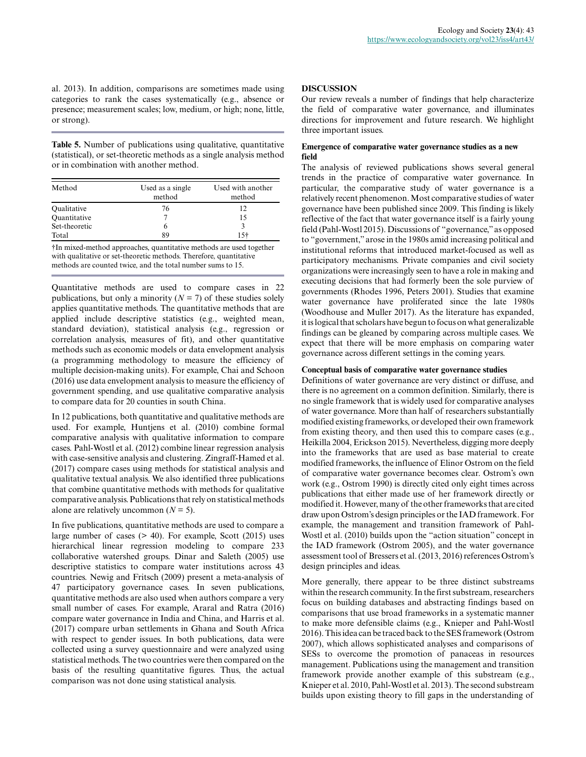al. 2013). In addition, comparisons are sometimes made using categories to rank the cases systematically (e.g., absence or presence; measurement scales; low, medium, or high; none, little, or strong).

**Table 5.** Number of publications using qualitative, quantitative (statistical), or set-theoretic methods as a single analysis method or in combination with another method.

| Method        | Used as a single<br>method | Used with another<br>method |
|---------------|----------------------------|-----------------------------|
| Qualitative   | 76                         | 12                          |
| Quantitative  |                            | 15                          |
| Set-theoretic | 6                          |                             |
| Total         | 89                         | 15†                         |

†In mixed-method approaches, quantitative methods are used together with qualitative or set-theoretic methods. Therefore, quantitative methods are counted twice, and the total number sums to 15.

Quantitative methods are used to compare cases in 22 publications, but only a minority  $(N = 7)$  of these studies solely applies quantitative methods. The quantitative methods that are applied include descriptive statistics (e.g., weighted mean, standard deviation), statistical analysis (e.g., regression or correlation analysis, measures of fit), and other quantitative methods such as economic models or data envelopment analysis (a programming methodology to measure the efficiency of multiple decision-making units). For example, Chai and Schoon (2016) use data envelopment analysis to measure the efficiency of government spending, and use qualitative comparative analysis to compare data for 20 counties in south China.

In 12 publications, both quantitative and qualitative methods are used. For example, Huntjens et al. (2010) combine formal comparative analysis with qualitative information to compare cases. Pahl-Wostl et al. (2012) combine linear regression analysis with case-sensitive analysis and clustering. Zingraff-Hamed et al. (2017) compare cases using methods for statistical analysis and qualitative textual analysis. We also identified three publications that combine quantitative methods with methods for qualitative comparative analysis. Publications that rely on statistical methods alone are relatively uncommon  $(N = 5)$ .

In five publications, quantitative methods are used to compare a large number of cases  $(> 40)$ . For example, Scott (2015) uses hierarchical linear regression modeling to compare 233 collaborative watershed groups. Dinar and Saleth (2005) use descriptive statistics to compare water institutions across 43 countries. Newig and Fritsch (2009) present a meta-analysis of 47 participatory governance cases. In seven publications, quantitative methods are also used when authors compare a very small number of cases. For example, Araral and Ratra (2016) compare water governance in India and China, and Harris et al. (2017) compare urban settlements in Ghana and South Africa with respect to gender issues. In both publications, data were collected using a survey questionnaire and were analyzed using statistical methods. The two countries were then compared on the basis of the resulting quantitative figures. Thus, the actual comparison was not done using statistical analysis.

#### **DISCUSSION**

Our review reveals a number of findings that help characterize the field of comparative water governance, and illuminates directions for improvement and future research. We highlight three important issues.

#### **Emergence of comparative water governance studies as a new field**

The analysis of reviewed publications shows several general trends in the practice of comparative water governance. In particular, the comparative study of water governance is a relatively recent phenomenon. Most comparative studies of water governance have been published since 2009. This finding is likely reflective of the fact that water governance itself is a fairly young field (Pahl-Wostl 2015). Discussions of "governance," as opposed to "government," arose in the 1980s amid increasing political and institutional reforms that introduced market-focused as well as participatory mechanisms. Private companies and civil society organizations were increasingly seen to have a role in making and executing decisions that had formerly been the sole purview of governments (Rhodes 1996, Peters 2001). Studies that examine water governance have proliferated since the late 1980s (Woodhouse and Muller 2017). As the literature has expanded, it is logical that scholars have begun to focus on what generalizable findings can be gleaned by comparing across multiple cases. We expect that there will be more emphasis on comparing water governance across different settings in the coming years.

#### **Conceptual basis of comparative water governance studies**

Definitions of water governance are very distinct or diffuse, and there is no agreement on a common definition. Similarly, there is no single framework that is widely used for comparative analyses of water governance. More than half of researchers substantially modified existing frameworks, or developed their own framework from existing theory, and then used this to compare cases (e.g., Heikilla 2004, Erickson 2015). Nevertheless, digging more deeply into the frameworks that are used as base material to create modified frameworks, the influence of Elinor Ostrom on the field of comparative water governance becomes clear. Ostrom's own work (e.g., Ostrom 1990) is directly cited only eight times across publications that either made use of her framework directly or modified it. However, many of the other frameworks that are cited draw upon Ostrom's design principles or the IAD framework. For example, the management and transition framework of Pahl-Wostl et al. (2010) builds upon the "action situation" concept in the IAD framework (Ostrom 2005), and the water governance assessment tool of Bressers et al. (2013, 2016) references Ostrom's design principles and ideas.

More generally, there appear to be three distinct substreams within the research community. In the first substream, researchers focus on building databases and abstracting findings based on comparisons that use broad frameworks in a systematic manner to make more defensible claims (e.g., Knieper and Pahl-Wostl 2016). This idea can be traced back to the SES framework (Ostrom 2007), which allows sophisticated analyses and comparisons of SESs to overcome the promotion of panaceas in resources management. Publications using the management and transition framework provide another example of this substream (e.g., Knieper et al. 2010, Pahl-Wostl et al. 2013). The second substream builds upon existing theory to fill gaps in the understanding of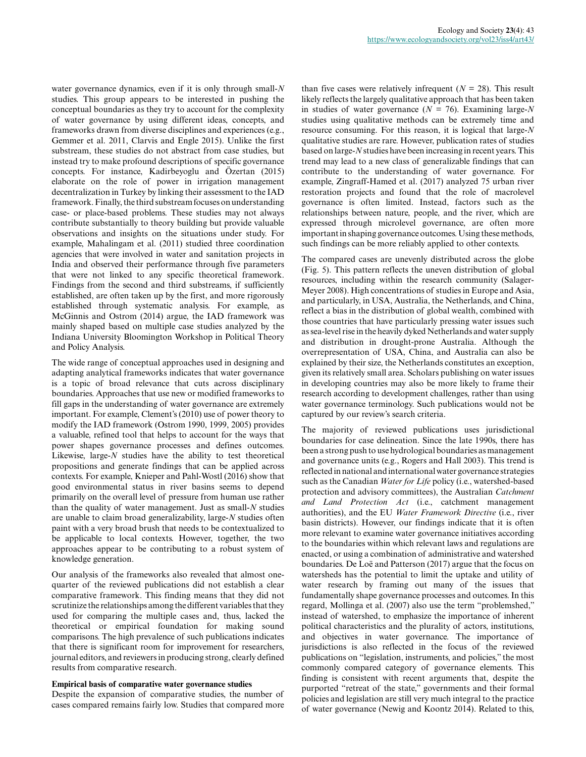water governance dynamics, even if it is only through small-*N* studies. This group appears to be interested in pushing the conceptual boundaries as they try to account for the complexity of water governance by using different ideas, concepts, and frameworks drawn from diverse disciplines and experiences (e.g., Gemmer et al. 2011, Clarvis and Engle 2015). Unlike the first substream, these studies do not abstract from case studies, but instead try to make profound descriptions of specific governance concepts. For instance, Kadirbeyoglu and Özertan (2015) elaborate on the role of power in irrigation management decentralization in Turkey by linking their assessment to the IAD framework. Finally, the third substream focuses on understanding case- or place-based problems. These studies may not always contribute substantially to theory building but provide valuable observations and insights on the situations under study. For example, Mahalingam et al. (2011) studied three coordination agencies that were involved in water and sanitation projects in India and observed their performance through five parameters that were not linked to any specific theoretical framework. Findings from the second and third substreams, if sufficiently established, are often taken up by the first, and more rigorously established through systematic analysis. For example, as McGinnis and Ostrom (2014) argue, the IAD framework was mainly shaped based on multiple case studies analyzed by the Indiana University Bloomington Workshop in Political Theory and Policy Analysis.

The wide range of conceptual approaches used in designing and adapting analytical frameworks indicates that water governance is a topic of broad relevance that cuts across disciplinary boundaries. Approaches that use new or modified frameworks to fill gaps in the understanding of water governance are extremely important. For example, Clement's (2010) use of power theory to modify the IAD framework (Ostrom 1990, 1999, 2005) provides a valuable, refined tool that helps to account for the ways that power shapes governance processes and defines outcomes. Likewise, large-*N* studies have the ability to test theoretical propositions and generate findings that can be applied across contexts. For example, Knieper and Pahl-Wostl (2016) show that good environmental status in river basins seems to depend primarily on the overall level of pressure from human use rather than the quality of water management. Just as small-*N* studies are unable to claim broad generalizability, large-*N* studies often paint with a very broad brush that needs to be contextualized to be applicable to local contexts. However, together, the two approaches appear to be contributing to a robust system of knowledge generation.

Our analysis of the frameworks also revealed that almost onequarter of the reviewed publications did not establish a clear comparative framework. This finding means that they did not scrutinize the relationships among the different variables that they used for comparing the multiple cases and, thus, lacked the theoretical or empirical foundation for making sound comparisons. The high prevalence of such publications indicates that there is significant room for improvement for researchers, journal editors, and reviewers in producing strong, clearly defined results from comparative research.

#### **Empirical basis of comparative water governance studies**

Despite the expansion of comparative studies, the number of cases compared remains fairly low. Studies that compared more than five cases were relatively infrequent  $(N = 28)$ . This result likely reflects the largely qualitative approach that has been taken in studies of water governance ( $N = 76$ ). Examining large- $N$ studies using qualitative methods can be extremely time and resource consuming. For this reason, it is logical that large-*N* qualitative studies are rare. However, publication rates of studies based on large-*N* studies have been increasing in recent years. This trend may lead to a new class of generalizable findings that can contribute to the understanding of water governance. For example, Zingraff-Hamed et al. (2017) analyzed 75 urban river restoration projects and found that the role of macrolevel governance is often limited. Instead, factors such as the relationships between nature, people, and the river, which are expressed through microlevel governance, are often more important in shaping governance outcomes. Using these methods, such findings can be more reliably applied to other contexts.

The compared cases are unevenly distributed across the globe (Fig. 5). This pattern reflects the uneven distribution of global resources, including within the research community (Salager-Meyer 2008). High concentrations of studies in Europe and Asia, and particularly, in USA, Australia, the Netherlands, and China, reflect a bias in the distribution of global wealth, combined with those countries that have particularly pressing water issues such as sea-level rise in the heavily dyked Netherlands and water supply and distribution in drought-prone Australia. Although the overrepresentation of USA, China, and Australia can also be explained by their size, the Netherlands constitutes an exception, given its relatively small area. Scholars publishing on water issues in developing countries may also be more likely to frame their research according to development challenges, rather than using water governance terminology. Such publications would not be captured by our review's search criteria.

The majority of reviewed publications uses jurisdictional boundaries for case delineation. Since the late 1990s, there has been a strong push to use hydrological boundaries as management and governance units (e.g., Rogers and Hall 2003). This trend is reflected in national and international water governance strategies such as the Canadian *Water for Life* policy (i.e., watershed-based protection and advisory committees), the Australian *Catchment and Land Protection Act* (i.e., catchment management authorities), and the EU *Water Framework Directive* (i.e., river basin districts). However, our findings indicate that it is often more relevant to examine water governance initiatives according to the boundaries within which relevant laws and regulations are enacted, or using a combination of administrative and watershed boundaries. De Loë and Patterson (2017) argue that the focus on watersheds has the potential to limit the uptake and utility of water research by framing out many of the issues that fundamentally shape governance processes and outcomes. In this regard, Mollinga et al. (2007) also use the term "problemshed," instead of watershed, to emphasize the importance of inherent political characteristics and the plurality of actors, institutions, and objectives in water governance. The importance of jurisdictions is also reflected in the focus of the reviewed publications on "legislation, instruments, and policies," the most commonly compared category of governance elements. This finding is consistent with recent arguments that, despite the purported "retreat of the state," governments and their formal policies and legislation are still very much integral to the practice of water governance (Newig and Koontz 2014). Related to this,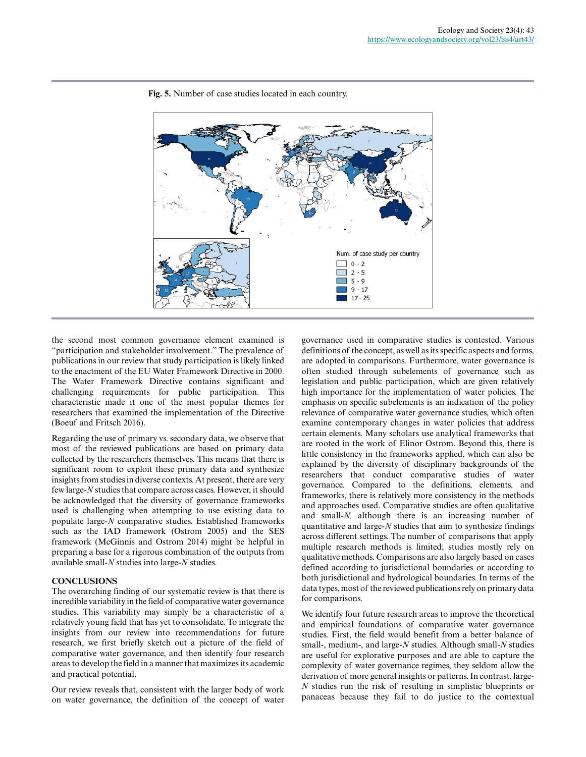

**Fig. 5.** Number of case studies located in each country.

the second most common governance element examined is "participation and stakeholder involvement." The prevalence of publications in our review that study participation is likely linked to the enactment of the EU Water Framework Directive in 2000. The Water Framework Directive contains significant and challenging requirements for public participation. This characteristic made it one of the most popular themes for researchers that examined the implementation of the Directive (Boeuf and Fritsch 2016).

Regarding the use of primary vs. secondary data, we observe that most of the reviewed publications are based on primary data collected by the researchers themselves. This means that there is significant room to exploit these primary data and synthesize insights from studies in diverse contexts. At present, there are very few large-*N* studies that compare across cases. However, it should be acknowledged that the diversity of governance frameworks used is challenging when attempting to use existing data to populate large-*N* comparative studies. Established frameworks such as the IAD framework (Ostrom 2005) and the SES framework (McGinnis and Ostrom 2014) might be helpful in preparing a base for a rigorous combination of the outputs from available small-*N* studies into large-*N* studies.

#### **CONCLUSIONS**

The overarching finding of our systematic review is that there is incredible variability in the field of comparative water governance studies. This variability may simply be a characteristic of a relatively young field that has yet to consolidate. To integrate the insights from our review into recommendations for future research, we first briefly sketch out a picture of the field of comparative water governance, and then identify four research areas to develop the field in a manner that maximizes its academic and practical potential.

Our review reveals that, consistent with the larger body of work on water governance, the definition of the concept of water governance used in comparative studies is contested. Various definitions of the concept, as well as its specific aspects and forms, are adopted in comparisons. Furthermore, water governance is often studied through subelements of governance such as legislation and public participation, which are given relatively high importance for the implementation of water policies. The emphasis on specific subelements is an indication of the policy relevance of comparative water governance studies, which often examine contemporary changes in water policies that address certain elements. Many scholars use analytical frameworks that are rooted in the work of Elinor Ostrom. Beyond this, there is little consistency in the frameworks applied, which can also be explained by the diversity of disciplinary backgrounds of the researchers that conduct comparative studies of water governance. Compared to the definitions, elements, and frameworks, there is relatively more consistency in the methods and approaches used. Comparative studies are often qualitative and small-*N,* although there is an increasing number of quantitative and large-*N* studies that aim to synthesize findings across different settings. The number of comparisons that apply multiple research methods is limited; studies mostly rely on qualitative methods. Comparisons are also largely based on cases defined according to jurisdictional boundaries or according to both jurisdictional and hydrological boundaries. In terms of the data types, most of the reviewed publications rely on primary data for comparisons.

We identify four future research areas to improve the theoretical and empirical foundations of comparative water governance studies. First, the field would benefit from a better balance of small-, medium-, and large-*N* studies. Although small-*N* studies are useful for explorative purposes and are able to capture the complexity of water governance regimes, they seldom allow the derivation of more general insights or patterns. In contrast, large-*N* studies run the risk of resulting in simplistic blueprints or panaceas because they fail to do justice to the contextual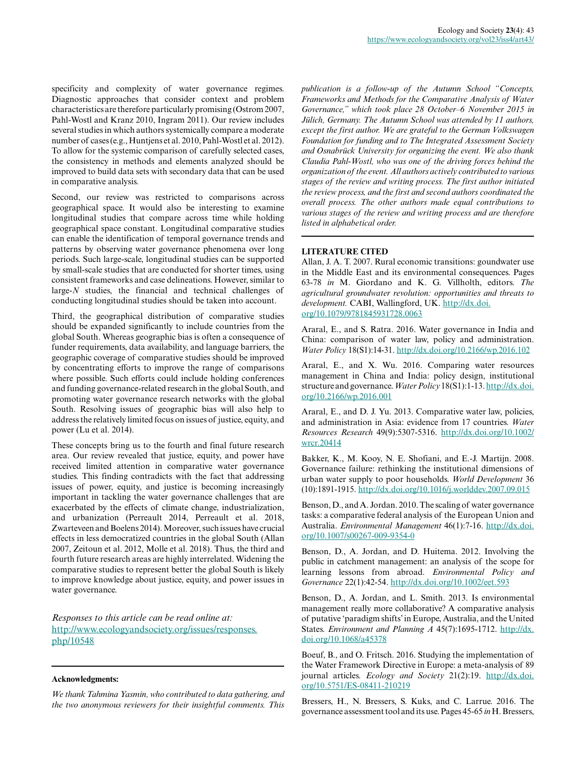specificity and complexity of water governance regimes. Diagnostic approaches that consider context and problem characteristics are therefore particularly promising (Ostrom 2007, Pahl-Wostl and Kranz 2010, Ingram 2011). Our review includes several studies in which authors systemically compare a moderate number of cases (e.g., Huntjens et al. 2010, Pahl-Wostl et al. 2012). To allow for the systemic comparison of carefully selected cases, the consistency in methods and elements analyzed should be improved to build data sets with secondary data that can be used in comparative analysis.

Second, our review was restricted to comparisons across geographical space. It would also be interesting to examine longitudinal studies that compare across time while holding geographical space constant. Longitudinal comparative studies can enable the identification of temporal governance trends and patterns by observing water governance phenomena over long periods. Such large-scale, longitudinal studies can be supported by small-scale studies that are conducted for shorter times, using consistent frameworks and case delineations. However, similar to large-*N* studies, the financial and technical challenges of conducting longitudinal studies should be taken into account.

Third, the geographical distribution of comparative studies should be expanded significantly to include countries from the global South. Whereas geographic bias is often a consequence of funder requirements, data availability, and language barriers, the geographic coverage of comparative studies should be improved by concentrating efforts to improve the range of comparisons where possible. Such efforts could include holding conferences and funding governance-related research in the global South, and promoting water governance research networks with the global South. Resolving issues of geographic bias will also help to address the relatively limited focus on issues of justice, equity, and power (Lu et al. 2014).

These concepts bring us to the fourth and final future research area. Our review revealed that justice, equity, and power have received limited attention in comparative water governance studies. This finding contradicts with the fact that addressing issues of power, equity, and justice is becoming increasingly important in tackling the water governance challenges that are exacerbated by the effects of climate change, industrialization, and urbanization (Perreault 2014, Perreault et al. 2018, Zwarteveen and Boelens 2014). Moreover, such issues have crucial effects in less democratized countries in the global South (Allan 2007, Zeitoun et al. 2012, Molle et al. 2018). Thus, the third and fourth future research areas are highly interrelated. Widening the comparative studies to represent better the global South is likely to improve knowledge about justice, equity, and power issues in water governance.

*Responses to this article can be read online at:* [http://www.ecologyandsociety.org/issues/responses.](http://www.ecologyandsociety.org/issues/responses.php/10548) [php/10548](http://www.ecologyandsociety.org/issues/responses.php/10548)

#### **Acknowledgments:**

*We thank Tahmina Yasmin, who contributed to data gathering, and the two anonymous reviewers for their insightful comments. This* *publication is a follow-up of the Autumn School "Concepts, Frameworks and Methods for the Comparative Analysis of Water Governance," which took place 28 October–6 November 2015 in Jülich, Germany. The Autumn School was attended by 11 authors, except the first author. We are grateful to the German Volkswagen Foundation for funding and to The Integrated Assessment Society and Osnabrück University for organizing the event. We also thank Claudia Pahl-Wostl, who was one of the driving forces behind the organization of the event. All authors actively contributed to various stages of the review and writing process. The first author initiated the review process, and the first and second authors coordinated the overall process. The other authors made equal contributions to various stages of the review and writing process and are therefore listed in alphabetical order.*

#### **LITERATURE CITED**

Allan, J. A. T. 2007. Rural economic transitions: goundwater use in the Middle East and its environmental consequences. Pages 63-78 *in* M. Giordano and K. G. Villholth, editors. *The agricultural groundwater revolution: opportunities and threats to development.* CABI, Wallingford, UK. [http://dx.doi.](http://dx.doi.org/10.1079/9781845931728.0063) [org/10.1079/9781845931728.0063](http://dx.doi.org/10.1079/9781845931728.0063)

Araral, E., and S. Ratra. 2016. Water governance in India and China: comparison of water law, policy and administration. *Water Policy* 18(S1):14-31. <http://dx.doi.org/10.2166/wp.2016.102>

Araral, E., and X. Wu. 2016. Comparing water resources management in China and India: policy design, institutional structure and governance. *Water Policy* 18(S1):1-13. [http://dx.doi.](http://dx.doi.org/10.2166/wp.2016.001) [org/10.2166/wp.2016.001](http://dx.doi.org/10.2166/wp.2016.001)

Araral, E., and D. J. Yu. 2013. Comparative water law, policies, and administration in Asia: evidence from 17 countries. *Water Resources Research* 49(9):5307-5316. [http://dx.doi.org/10.1002/](http://dx.doi.org/10.1002/wrcr.20414) [wrcr.20414](http://dx.doi.org/10.1002/wrcr.20414) 

Bakker, K., M. Kooy, N. E. Shofiani, and E.-J. Martijn. 2008. Governance failure: rethinking the institutional dimensions of urban water supply to poor households. *World Development* 36 (10):1891-1915.<http://dx.doi.org/10.1016/j.worlddev.2007.09.015>

Benson, D., and A. Jordan. 2010. The scaling of water governance tasks: a comparative federal analysis of the European Union and Australia. *Environmental Management* 46(1):7-16. [http://dx.doi.](http://dx.doi.org/10.1007/s00267-009-9354-0) [org/10.1007/s00267-009-9354-0](http://dx.doi.org/10.1007/s00267-009-9354-0)

Benson, D., A. Jordan, and D. Huitema. 2012. Involving the public in catchment management: an analysis of the scope for learning lessons from abroad. *Environmental Policy and Governance* 22(1):42-54.<http://dx.doi.org/10.1002/eet.593>

Benson, D., A. Jordan, and L. Smith. 2013. Is environmental management really more collaborative? A comparative analysis of putative 'paradigm shifts' in Europe, Australia, and the United States. *Environment and Planning A* 45(7):1695-1712. [http://dx.](http://dx.doi.org/10.1068/a45378) [doi.org/10.1068/a45378](http://dx.doi.org/10.1068/a45378)

Boeuf, B., and O. Fritsch. 2016. Studying the implementation of the Water Framework Directive in Europe: a meta-analysis of 89 journal articles. *Ecology and Society* 21(2):19. [http://dx.doi.](http://dx.doi.org/10.5751/ES-08411-210219) [org/10.5751/ES-08411-210219](http://dx.doi.org/10.5751/ES-08411-210219) 

Bressers, H., N. Bressers, S. Kuks, and C. Larrue. 2016. The governance assessment tool and its use. Pages 45-65 *in* H. Bressers,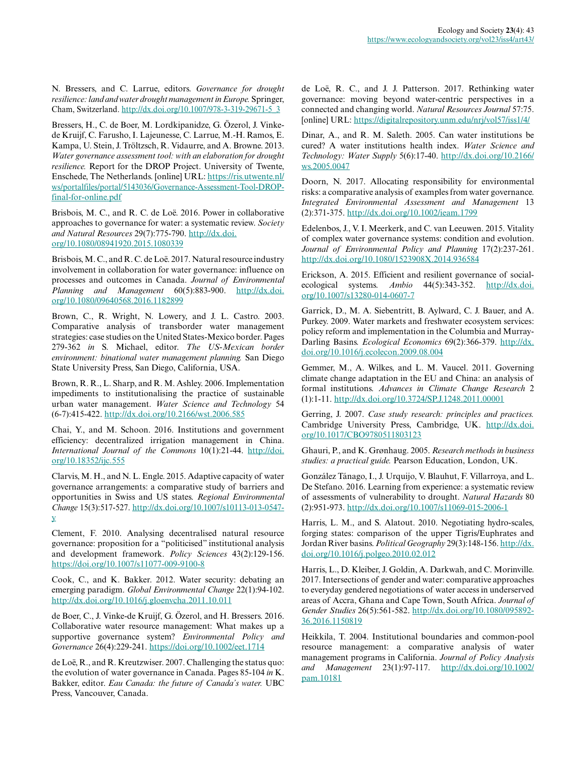N. Bressers, and C. Larrue, editors. *Governance for drought resilience: land and water drought management in Europe.* Springer, Cham, Switzerland. [http://dx.doi.org/10.1007/978-3-319-29671-5\\_3](http://dx.doi.org/10.1007/978-3-319-29671-5_3) 

Bressers, H., C. de Boer, M. Lordkipanidze, G. Özerol, J. Vinkede Kruijf, C. Farusho, I. Lajeunesse, C. Larrue, M.-H. Ramos, E. Kampa, U. Stein, J. Tröltzsch, R. Vidaurre, and A. Browne. 2013. *Water governance assessment tool: with an elaboration for drought resilience.* Report for the DROP Project. University of Twente, Enschede, The Netherlands. [online] URL: [https://ris.utwente.nl/](https://ris.utwente.nl/ws/portalfiles/portal/5143036/Governance-Assessment-Tool-DROP-final-for-online.pdf) [ws/portalfiles/portal/5143036/Governance-Assessment-Tool-DROP](https://ris.utwente.nl/ws/portalfiles/portal/5143036/Governance-Assessment-Tool-DROP-final-for-online.pdf)[final-for-online.pdf](https://ris.utwente.nl/ws/portalfiles/portal/5143036/Governance-Assessment-Tool-DROP-final-for-online.pdf)

Brisbois, M. C., and R. C. de Loë. 2016. Power in collaborative approaches to governance for water: a systematic review. *Society and Natural Resources* 29(7):775-790. [http://dx.doi.](http://dx.doi.org/10.1080/08941920.2015.1080339) [org/10.1080/08941920.2015.1080339](http://dx.doi.org/10.1080/08941920.2015.1080339) 

Brisbois, M. C., and R. C. de Loë. 2017. Natural resource industry involvement in collaboration for water governance: influence on processes and outcomes in Canada. *Journal of Environmental Planning and Management* 60(5):883-900. [http://dx.doi.](http://dx.doi.org/10.1080/09640568.2016.1182899) [org/10.1080/09640568.2016.1182899](http://dx.doi.org/10.1080/09640568.2016.1182899) 

Brown, C., R. Wright, N. Lowery, and J. L. Castro. 2003. Comparative analysis of transborder water management strategies: case studies on the United States-Mexico border. Pages 279-362 *in* S. Michael, editor. *The US-Mexican border environment: binational water management planning.* San Diego State University Press, San Diego, California, USA.

Brown, R. R., L. Sharp, and R. M. Ashley. 2006. Implementation impediments to institutionalising the practice of sustainable urban water management. *Water Science and Technology* 54 (6-7):415-422.<http://dx.doi.org/10.2166/wst.2006.585>

Chai, Y., and M. Schoon. 2016. Institutions and government efficiency: decentralized irrigation management in China. *International Journal of the Commons* 10(1):21-44. [http://doi.](http://doi.org/10.18352/ijc.555) [org/10.18352/ijc.555](http://doi.org/10.18352/ijc.555)

Clarvis, M. H., and N. L. Engle. 2015. Adaptive capacity of water governance arrangements: a comparative study of barriers and opportunities in Swiss and US states. *Regional Environmental Change* 15(3):517-527. [http://dx.doi.org/10.1007/s10113-013-0547](http://dx.doi.org/10.1007/s10113-013-0547-y) [y](http://dx.doi.org/10.1007/s10113-013-0547-y)

Clement, F. 2010. Analysing decentralised natural resource governance: proposition for a "politicised" institutional analysis and development framework. *Policy Sciences* 43(2):129-156. <https://doi.org/10.1007/s11077-009-9100-8>

Cook, C., and K. Bakker. 2012. Water security: debating an emerging paradigm. *Global Environmental Change* 22(1):94-102. <http://dx.doi.org/10.1016/j.gloenvcha.2011.10.011>

de Boer, C., J. Vinke-de Kruijf, G. Özerol, and H. Bressers. 2016. Collaborative water resource management: What makes up a supportive governance system? *Environmental Policy and Governance* 26(4):229-241.<https://doi.org/10.1002/eet.1714>

de Loë, R., and R. Kreutzwiser. 2007. Challenging the status quo: the evolution of water governance in Canada. Pages 85-104 *in* K. Bakker, editor. *Eau Canada: the future of Canada's water.* UBC Press, Vancouver, Canada.

de Loë, R. C., and J. J. Patterson. 2017. Rethinking water governance: moving beyond water-centric perspectives in a connected and changing world. *Natural Resources Journal* 57:75. [online] URL: <https://digitalrepository.unm.edu/nrj/vol57/iss1/4/>

Dinar, A., and R. M. Saleth. 2005. Can water institutions be cured? A water institutions health index. *Water Science and Technology: Water Supply* 5(6):17-40. [http://dx.doi.org/10.2166/](http://dx.doi.org/10.2166/ws.2005.0047) [ws.2005.0047](http://dx.doi.org/10.2166/ws.2005.0047)

Doorn, N. 2017. Allocating responsibility for environmental risks: a comparative analysis of examples from water governance. *Integrated Environmental Assessment and Management* 13 (2):371-375. <http://dx.doi.org/10.1002/ieam.1799>

Edelenbos, J., V. I. Meerkerk, and C. van Leeuwen. 2015. Vitality of complex water governance systems: condition and evolution. *Journal of Environmental Policy and Planning* 17(2):237-261. <http://dx.doi.org/10.1080/1523908X.2014.936584>

Erickson, A. 2015. Efficient and resilient governance of socialecological systems. *Ambio* 44(5):343-352. [http://dx.doi.](http://dx.doi.org/10.1007/s13280-014-0607-7) [org/10.1007/s13280-014-0607-7](http://dx.doi.org/10.1007/s13280-014-0607-7)

Garrick, D., M. A. Siebentritt, B. Aylward, C. J. Bauer, and A. Purkey. 2009. Water markets and freshwater ecosystem services: policy reform and implementation in the Columbia and Murray-Darling Basins. *Ecological Economics* 69(2):366-379. [http://dx.](http://dx.doi.org/10.1016/j.ecolecon.2009.08.004) [doi.org/10.1016/j.ecolecon.2009.08.004](http://dx.doi.org/10.1016/j.ecolecon.2009.08.004) 

Gemmer, M., A. Wilkes, and L. M. Vaucel. 2011. Governing climate change adaptation in the EU and China: an analysis of formal institutions. *Advances in Climate Change Research* 2 (1):1-11.<http://dx.doi.org/10.3724/SP.J.1248.2011.00001>

Gerring, J. 2007. *Case study research: principles and practices.* Cambridge University Press, Cambridge, UK. [http://dx.doi.](http://dx.doi.org/10.1017/CBO9780511803123) [org/10.1017/CBO9780511803123](http://dx.doi.org/10.1017/CBO9780511803123)

Ghauri, P., and K. Grønhaug. 2005. *Research methods in business studies: a practical guide.* Pearson Education, London, UK.

González Tánago, I., J. Urquijo, V. Blauhut, F. Villarroya, and L. De Stefano. 2016. Learning from experience: a systematic review of assessments of vulnerability to drought. *Natural Hazards* 80 (2):951-973. <http://dx.doi.org/10.1007/s11069-015-2006-1>

Harris, L. M., and S. Alatout. 2010. Negotiating hydro-scales, forging states: comparison of the upper Tigris/Euphrates and Jordan River basins. *Political Geography* 29(3):148-156. [http://dx.](http://dx.doi.org/10.1016/j.polgeo.2010.02.012) [doi.org/10.1016/j.polgeo.2010.02.012](http://dx.doi.org/10.1016/j.polgeo.2010.02.012)

Harris, L., D. Kleiber, J. Goldin, A. Darkwah, and C. Morinville. 2017. Intersections of gender and water: comparative approaches to everyday gendered negotiations of water access in underserved areas of Accra, Ghana and Cape Town, South Africa. *Journal of Gender Studies* 26(5):561-582. [http://dx.doi.org/10.1080/095892](http://dx.doi.org/10.1080/09589236.2016.1150819) [36.2016.1150819](http://dx.doi.org/10.1080/09589236.2016.1150819)

Heikkila, T. 2004. Institutional boundaries and common-pool resource management: a comparative analysis of water management programs in California. *Journal of Policy Analysis and Management* 23(1):97-117. [http://dx.doi.org/10.1002/](http://dx.doi.org/10.1002/pam.10181) [pam.10181](http://dx.doi.org/10.1002/pam.10181)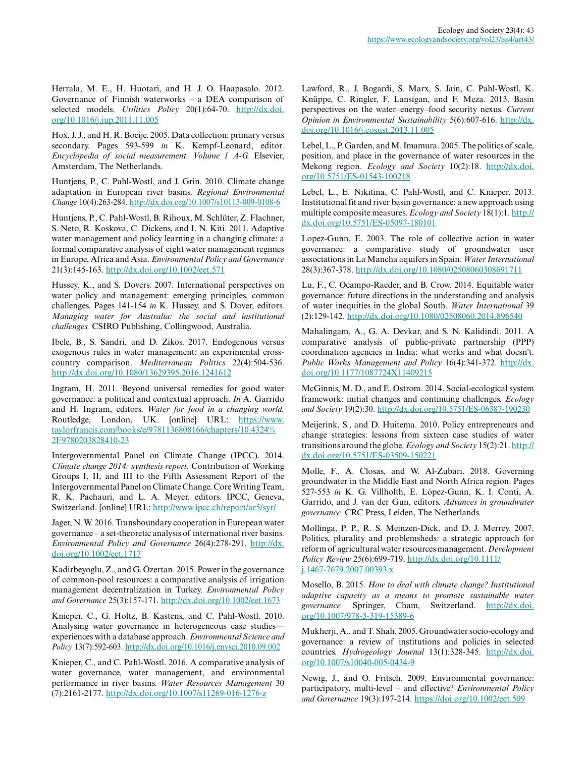Herrala, M. E., H. Huotari, and H. J. O. Haapasalo. 2012. Governance of Finnish waterworks – a DEA comparison of selected models. *Utilities Policy* 20(1):64-70. [http://dx.doi.](http://dx.doi.org/10.1016/j.jup.2011.11.005) [org/10.1016/j.jup.2011.11.005](http://dx.doi.org/10.1016/j.jup.2011.11.005) 

Hox, J. J., and H. R. Boeije. 2005. Data collection: primary versus secondary. Pages 593-599 *in* K. Kempf-Leonard, editor. *Encyclopedia of social measurement. Volume 1 A-G.* Elsevier, Amsterdam, The Netherlands.

Huntjens, P., C. Pahl-Wostl, and J. Grin. 2010. Climate change adaptation in European river basins. *Regional Environmental Change* 10(4):263-284.<http://dx.doi.org/10.1007/s10113-009-0108-6>

Huntjens, P., C. Pahl-Wostl, B. Rihoux, M. Schlüter, Z. Flachner, S. Neto, R. Koskova, C. Dickens, and I. N. Kiti. 2011. Adaptive water management and policy learning in a changing climate: a formal comparative analysis of eight water management regimes in Europe, Africa and Asia. *Environmental Policy and Governance* 21(3):145-163. <http://dx.doi.org/10.1002/eet.571>

Hussey, K., and S. Dovers. 2007. International perspectives on water policy and management: emerging principles, common challenges. Pages 141-154 *in* K. Hussey, and S. Dover, editors. *Managing water for Australia: the social and institutional challenges.* CSIRO Publishing, Collingwood, Australia.

Ibele, B., S. Sandri, and D. Zikos. 2017. Endogenous versus exogenous rules in water management: an experimental crosscountry comparison. *Mediterranean Politics* 22(4):504-536. <http://dx.doi.org/10.1080/13629395.2016.1241612>

Ingram, H. 2011. Beyond universal remedies for good water governance: a political and contextual approach. *In* A. Garrido and H. Ingram, editors. *Water for food in a changing world.* Routledge, London, UK. [online] URL: [https://www.](https://www.taylorfrancis.com/books/e/9781136808166/chapters/10.4324%2F9780203828410-23) [taylorfrancis.com/books/e/9781136808166/chapters/10.4324%](https://www.taylorfrancis.com/books/e/9781136808166/chapters/10.4324%2F9780203828410-23) [2F9780203828410-23](https://www.taylorfrancis.com/books/e/9781136808166/chapters/10.4324%2F9780203828410-23)

Intergovernmental Panel on Climate Change (IPCC). 2014. *Climate change 2014: synthesis report.* Contribution of Working Groups I, II, and III to the Fifth Assessment Report of the Intergovernmental Panel on Climate Change. Core Writing Team, R. K. Pachauri, and L. A. Meyer, editors. IPCC, Geneva, Switzerland. [online] URL: <http://www.ipcc.ch/report/ar5/syr/>

Jager, N. W. 2016. Transboundary cooperation in European water governance – a set-theoretic analysis of international river basins. *Environmental Policy and Governance* 26(4):278-291. [http://dx.](http://dx.doi.org/10.1002/eet.1717) [doi.org/10.1002/eet.1717](http://dx.doi.org/10.1002/eet.1717)

Kadirbeyoglu, Z., and G. Özertan. 2015. Power in the governance of common-pool resources: a comparative analysis of irrigation management decentralization in Turkey. *Environmental Policy and Governance* 25(3):157-171.<http://dx.doi.org/10.1002/eet.1673>

Knieper, C., G. Holtz, B. Kastens, and C. Pahl-Wostl. 2010. Analysing water governance in heterogeneous case studies experiences with a database approach. *Environmental Science and Policy* 13(7):592-603. <http://dx.doi.org/10.1016/j.envsci.2010.09.002>

Knieper, C., and C. Pahl-Wostl. 2016. A comparative analysis of water governance, water management, and environmental performance in river basins. *Water Resources Management* 30 (7):2161-2177. <http://dx.doi.org/10.1007/s11269-016-1276-z>

Lawford, R., J. Bogardi, S. Marx, S. Jain, C. Pahl-Wostl, K. Knüppe, C. Ringler, F. Lansigan, and F. Meza. 2013. Basin perspectives on the water–energy–food security nexus. *Current Opinion in Environmental Sustainability* 5(6):607-616. [http://dx.](http://dx.doi.org/10.1016/j.cosust.2013.11.005) [doi.org/10.1016/j.cosust.2013.11.005](http://dx.doi.org/10.1016/j.cosust.2013.11.005) 

Lebel, L., P. Garden, and M. Imamura. 2005. The politics of scale, position, and place in the governance of water resources in the Mekong region. *Ecology and Society* 10(2):18. [http://dx.doi.](http://dx.doi.org/10.5751/ES-01543-100218) [org/10.5751/ES-01543-100218](http://dx.doi.org/10.5751/ES-01543-100218) 

Lebel, L., E. Nikitina, C. Pahl-Wostl, and C. Knieper. 2013. Institutional fit and river basin governance: a new approach using multiple composite measures. *Ecology and Society* 18(1):1. [http://](http://dx.doi.org/10.5751/ES-05097-180101) [dx.doi.org/10.5751/ES-05097-180101](http://dx.doi.org/10.5751/ES-05097-180101)

Lopez-Gunn, E. 2003. The role of collective action in water governance: a comparative study of groundwater user associations in La Mancha aquifers in Spain. *Water International* 28(3):367-378. <http://dx.doi.org/10.1080/02508060308691711>

Lu, F., C. Ocampo-Raeder, and B. Crow. 2014. Equitable water governance: future directions in the understanding and analysis of water inequities in the global South. *Water International* 39 (2):129-142. <http://dx.doi.org/10.1080/02508060.2014.896540>

Mahalingam, A., G. A. Devkar, and S. N. Kalidindi. 2011. A comparative analysis of public-private partnership (PPP) coordination agencies in India: what works and what doesn't. *Public Works Management and Policy* 16(4):341-372. [http://dx.](http://dx.doi.org/10.1177/1087724X11409215) [doi.org/10.1177/1087724X11409215](http://dx.doi.org/10.1177/1087724X11409215)

McGinnis, M. D., and E. Ostrom. 2014. Social-ecological system framework: initial changes and continuing challenges. *Ecology and Society* 19(2):30.<http://dx.doi.org/10.5751/ES-06387-190230>

Meijerink, S., and D. Huitema. 2010. Policy entrepreneurs and change strategies: lessons from sixteen case studies of water transitions around the globe. *Ecology and Society* 15(2):21. [http://](http://dx.doi.org/10.5751/ES-03509-150221) [dx.doi.org/10.5751/ES-03509-150221](http://dx.doi.org/10.5751/ES-03509-150221)

Molle, F., A. Closas, and W. Al-Zubari. 2018. Governing groundwater in the Middle East and North Africa region. Pages 527-553 *in* K. G. Villholth, E. López-Gunn, K. I. Conti, A. Garrido, and J. van der Gun, editors. *Advances in groundwater governance.* CRC Press, Leiden, The Netherlands.

Mollinga, P. P., R. S. Meinzen-Dick, and D. J. Merrey. 2007. Politics, plurality and problemsheds: a strategic approach for reform of agricultural water resources management. *Development Policy Review* 25(6):699-719. [http://dx.doi.org/10.1111/](http://dx.doi.org/10.1111/j.1467-7679.2007.00393.x) [j.1467-7679.2007.00393.x](http://dx.doi.org/10.1111/j.1467-7679.2007.00393.x)

Mosello, B. 2015. *How to deal with climate change? Institutional adaptive capacity as a means to promote sustainable water governance.* Springer, Cham, Switzerland. [http://dx.doi.](http://dx.doi.org/10.1007/978-3-319-15389-6) [org/10.1007/978-3-319-15389-6](http://dx.doi.org/10.1007/978-3-319-15389-6) 

Mukherji, A., and T. Shah. 2005. Groundwater socio-ecology and governance: a review of institutions and policies in selected countries. *Hydrogeology Journal* 13(1):328-345. [http://dx.doi.](http://dx.doi.org/10.1007/s10040-005-0434-9) [org/10.1007/s10040-005-0434-9](http://dx.doi.org/10.1007/s10040-005-0434-9)

Newig, J., and O. Fritsch. 2009. Environmental governance: participatory, multi-level – and effective? *Environmental Policy and Governance* 19(3):197-214. <https://doi.org/10.1002/eet.509>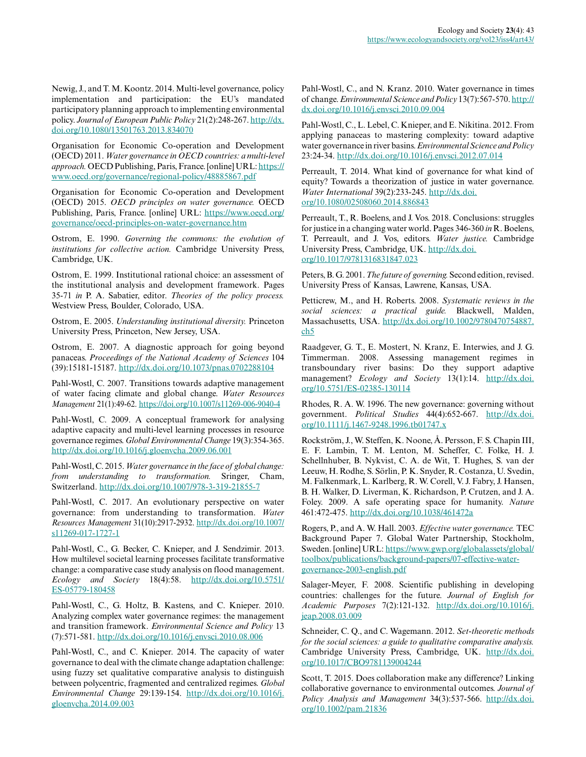Newig, J., and T. M. Koontz. 2014. Multi-level governance, policy implementation and participation: the EU's mandated participatory planning approach to implementing environmental policy. *Journal of European Public Policy* 21(2):248-267. [http://dx.](http://dx.doi.org/10.1080/13501763.2013.834070) [doi.org/10.1080/13501763.2013.834070](http://dx.doi.org/10.1080/13501763.2013.834070) 

Organisation for Economic Co-operation and Development (OECD) 2011. *Water governance in OECD countries: a multi-level approach.* OECD Publishing, Paris, France. [online] URL: [https://](https://www.oecd.org/governance/regional-policy/48885867.pdf) [www.oecd.org/governance/regional-policy/48885867.pdf](https://www.oecd.org/governance/regional-policy/48885867.pdf)

Organisation for Economic Co-operation and Development (OECD) 2015. *OECD principles on water governance.* OECD Publishing, Paris, France. [online] URL: [https://www.oecd.org/](https://www.oecd.org/governance/oecd-principles-on-water-governance.htm) [governance/oecd-principles-on-water-governance.htm](https://www.oecd.org/governance/oecd-principles-on-water-governance.htm) 

Ostrom, E. 1990. *Governing the commons: the evolution of institutions for collective action.* Cambridge University Press, Cambridge, UK.

Ostrom, E. 1999. Institutional rational choice: an assessment of the institutional analysis and development framework. Pages 35-71 *in* P. A. Sabatier, editor. *Theories of the policy process.* Westview Press, Boulder, Colorado, USA.

Ostrom, E. 2005. *Understanding institutional diversity.* Princeton University Press, Princeton, New Jersey, USA.

Ostrom, E. 2007. A diagnostic approach for going beyond panaceas. *Proceedings of the National Academy of Sciences* 104 (39):15181-15187.<http://dx.doi.org/10.1073/pnas.0702288104>

Pahl-Wostl, C. 2007. Transitions towards adaptive management of water facing climate and global change. *Water Resources Management* 21(1):49-62.<https://doi.org/10.1007/s11269-006-9040-4>

Pahl-Wostl, C. 2009. A conceptual framework for analysing adaptive capacity and multi-level learning processes in resource governance regimes. *Global Environmental Change* 19(3):354-365. <http://dx.doi.org/10.1016/j.gloenvcha.2009.06.001>

Pahl-Wostl, C. 2015. *Water governance in the face of global change: from understanding to transformation.* Sringer, Cham, Switzerland. <http://dx.doi.org/10.1007/978-3-319-21855-7>

Pahl-Wostl, C. 2017. An evolutionary perspective on water governance: from understanding to transformation. *Water Resources Management* 31(10):2917-2932. [http://dx.doi.org/10.1007/](http://dx.doi.org/10.1007/s11269-017-1727-1) [s11269-017-1727-1](http://dx.doi.org/10.1007/s11269-017-1727-1) 

Pahl-Wostl, C., G. Becker, C. Knieper, and J. Sendzimir. 2013. How multilevel societal learning processes facilitate transformative change: a comparative case study analysis on flood management. *Ecology and Society* 18(4):58. [http://dx.doi.org/10.5751/](http://dx.doi.org/10.5751/ES-05779-180458) [ES-05779-180458](http://dx.doi.org/10.5751/ES-05779-180458)

Pahl-Wostl, C., G. Holtz, B. Kastens, and C. Knieper. 2010. Analyzing complex water governance regimes: the management and transition framework. *Environmental Science and Policy* 13 (7):571-581. <http://dx.doi.org/10.1016/j.envsci.2010.08.006>

Pahl-Wostl, C., and C. Knieper. 2014. The capacity of water governance to deal with the climate change adaptation challenge: using fuzzy set qualitative comparative analysis to distinguish between polycentric, fragmented and centralized regimes. *Global Environmental Change* 29:139-154. [http://dx.doi.org/10.1016/j.](http://dx.doi.org/10.1016/j.gloenvcha.2014.09.003) [gloenvcha.2014.09.003](http://dx.doi.org/10.1016/j.gloenvcha.2014.09.003)

Pahl-Wostl, C., and N. Kranz. 2010. Water governance in times of change. *Environmental Science and Policy* 13(7):567-570. [http://](http://dx.doi.org/10.1016/j.envsci.2010.09.004) [dx.doi.org/10.1016/j.envsci.2010.09.004](http://dx.doi.org/10.1016/j.envsci.2010.09.004)

Pahl-Wostl, C., L. Lebel, C. Knieper, and E. Nikitina. 2012. From applying panaceas to mastering complexity: toward adaptive water governance in river basins. *Environmental Science and Policy* 23:24-34.<http://dx.doi.org/10.1016/j.envsci.2012.07.014>

Perreault, T. 2014. What kind of governance for what kind of equity? Towards a theorization of justice in water governance. *Water International* 39(2):233-245. [http://dx.doi.](http://dx.doi.org/10.1080/02508060.2014.886843) [org/10.1080/02508060.2014.886843](http://dx.doi.org/10.1080/02508060.2014.886843)

Perreault, T., R. Boelens, and J. Vos. 2018. Conclusions: struggles for justice in a changing water world. Pages 346-360 *in* R. Boelens, T. Perreault, and J. Vos, editors. *Water justice.* Cambridge University Press, Cambridge, UK. [http://dx.doi.](http://dx.doi.org/10.1017/9781316831847.023) [org/10.1017/9781316831847.023](http://dx.doi.org/10.1017/9781316831847.023) 

Peters, B. G. 2001. *The future of governing.* Second edition, revised. University Press of Kansas, Lawrene, Kansas, USA.

Petticrew, M., and H. Roberts. 2008. *Systematic reviews in the social sciences: a practical guide.* Blackwell, Malden, Massachusetts, USA. [http://dx.doi.org/10.1002/9780470754887.](http://dx.doi.org/10.1002/9780470754887.ch5) [ch5](http://dx.doi.org/10.1002/9780470754887.ch5)

Raadgever, G. T., E. Mostert, N. Kranz, E. Interwies, and J. G. Timmerman. 2008. Assessing management regimes in transboundary river basins: Do they support adaptive management? *Ecology and Society* 13(1):14. [http://dx.doi.](http://dx.doi.org/10.5751/ES-02385-130114) [org/10.5751/ES-02385-130114](http://dx.doi.org/10.5751/ES-02385-130114) 

Rhodes, R. A. W. 1996. The new governance: governing without government. *Political Studies* 44(4):652-667. [http://dx.doi.](http://dx.doi.org/10.1111/j.1467-9248.1996.tb01747.x) [org/10.1111/j.1467-9248.1996.tb01747.x](http://dx.doi.org/10.1111/j.1467-9248.1996.tb01747.x)

Rockström, J., W. Steffen, K. Noone, Å. Persson, F. S. Chapin III, E. F. Lambin, T. M. Lenton, M. Scheffer, C. Folke, H. J. Schellnhuber, B. Nykvist, C. A. de Wit, T. Hughes, S. van der Leeuw, H. Rodhe, S. Sörlin, P. K. Snyder, R. Costanza, U. Svedin, M. Falkenmark, L. Karlberg, R. W. Corell, V. J. Fabry, J. Hansen, B. H. Walker, D. Liverman, K. Richardson, P. Crutzen, and J. A. Foley. 2009. A safe operating space for humanity. *Nature* 461:472-475. <http://dx.doi.org/10.1038/461472a>

Rogers, P., and A. W. Hall. 2003. *Effective water governance.* TEC Background Paper 7. Global Water Partnership, Stockholm, Sweden. [online] URL: [https://www.gwp.org/globalassets/global/](https://www.gwp.org/globalassets/global/toolbox/publications/background-papers/07-effective-water-governance-2003-english.pdf) [toolbox/publications/background-papers/07-effective-water](https://www.gwp.org/globalassets/global/toolbox/publications/background-papers/07-effective-water-governance-2003-english.pdf)[governance-2003-english.pdf](https://www.gwp.org/globalassets/global/toolbox/publications/background-papers/07-effective-water-governance-2003-english.pdf)

Salager-Meyer, F. 2008. Scientific publishing in developing countries: challenges for the future. *Journal of English for Academic Purposes* 7(2):121-132. [http://dx.doi.org/10.1016/j.](http://dx.doi.org/10.1016/j.jeap.2008.03.009) [jeap.2008.03.009](http://dx.doi.org/10.1016/j.jeap.2008.03.009) 

Schneider, C. Q., and C. Wagemann. 2012. *Set-theoretic methods for the social sciences: a guide to qualitative comparative analysis.* Cambridge University Press, Cambridge, UK. [http://dx.doi.](http://dx.doi.org/10.1017/CBO9781139004244) [org/10.1017/CBO9781139004244](http://dx.doi.org/10.1017/CBO9781139004244)

Scott, T. 2015. Does collaboration make any difference? Linking collaborative governance to environmental outcomes. *Journal of Policy Analysis and Management* 34(3):537-566. [http://dx.doi.](http://dx.doi.org/10.1002/pam.21836) [org/10.1002/pam.21836](http://dx.doi.org/10.1002/pam.21836)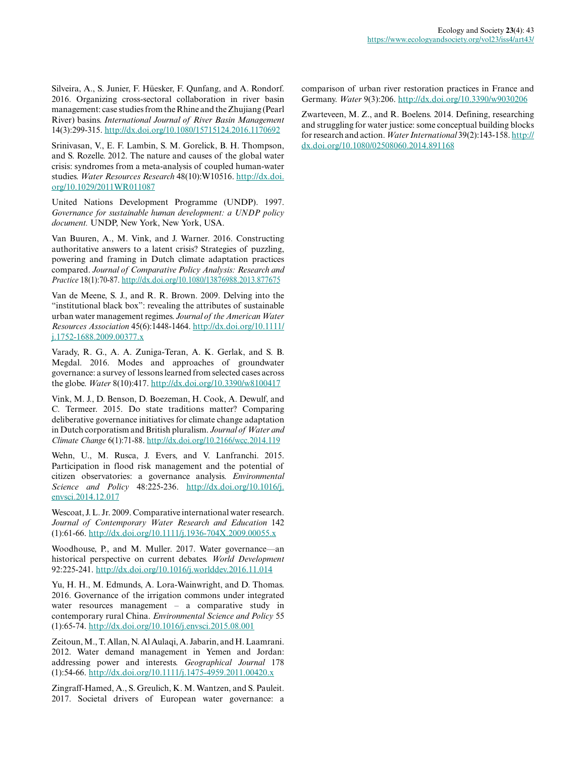Silveira, A., S. Junier, F. Hüesker, F. Qunfang, and A. Rondorf. 2016. Organizing cross-sectoral collaboration in river basin management: case studies from the Rhine and the Zhujiang (Pearl River) basins. *International Journal of River Basin Management* 14(3):299-315.<http://dx.doi.org/10.1080/15715124.2016.1170692>

Srinivasan, V., E. F. Lambin, S. M. Gorelick, B. H. Thompson, and S. Rozelle. 2012. The nature and causes of the global water crisis: syndromes from a meta-analysis of coupled human-water studies. *Water Resources Research* 48(10):W10516. [http://dx.doi.](http://dx.doi.org/10.1029/2011WR011087) [org/10.1029/2011WR011087](http://dx.doi.org/10.1029/2011WR011087)

United Nations Development Programme (UNDP). 1997. *Governance for sustainable human development: a UNDP policy document.* UNDP, New York, New York, USA.

Van Buuren, A., M. Vink, and J. Warner. 2016. Constructing authoritative answers to a latent crisis? Strategies of puzzling, powering and framing in Dutch climate adaptation practices compared. *Journal of Comparative Policy Analysis: Research and Practice* 18(1):70-87.<http://dx.doi.org/10.1080/13876988.2013.877675>

Van de Meene, S. J., and R. R. Brown. 2009. Delving into the "institutional black box": revealing the attributes of sustainable urban water management regimes. *Journal of the American Water Resources Association* 45(6):1448-1464. [http://dx.doi.org/10.1111/](http://dx.doi.org/10.1111/j.1752-1688.2009.00377.x) [j.1752-1688.2009.00377.x](http://dx.doi.org/10.1111/j.1752-1688.2009.00377.x)

Varady, R. G., A. A. Zuniga-Teran, A. K. Gerlak, and S. B. Megdal. 2016. Modes and approaches of groundwater governance: a survey of lessons learned from selected cases across the globe. *Water* 8(10):417.<http://dx.doi.org/10.3390/w8100417>

Vink, M. J., D. Benson, D. Boezeman, H. Cook, A. Dewulf, and C. Termeer. 2015. Do state traditions matter? Comparing deliberative governance initiatives for climate change adaptation in Dutch corporatism and British pluralism. *Journal of Water and Climate Change* 6(1):71-88.<http://dx.doi.org/10.2166/wcc.2014.119>

Wehn, U., M. Rusca, J. Evers, and V. Lanfranchi. 2015. Participation in flood risk management and the potential of citizen observatories: a governance analysis. *Environmental Science and Policy* 48:225-236. [http://dx.doi.org/10.1016/j.](http://dx.doi.org/10.1016/j.envsci.2014.12.017) [envsci.2014.12.017](http://dx.doi.org/10.1016/j.envsci.2014.12.017) 

Wescoat, J. L. Jr. 2009. Comparative international water research. *Journal of Contemporary Water Research and Education* 142 (1):61-66. <http://dx.doi.org/10.1111/j.1936-704X.2009.00055.x>

Woodhouse, P., and M. Muller. 2017. Water governance—an historical perspective on current debates. *World Development* 92:225-241.<http://dx.doi.org/10.1016/j.worlddev.2016.11.014>

Yu, H. H., M. Edmunds, A. Lora-Wainwright, and D. Thomas. 2016. Governance of the irrigation commons under integrated water resources management – a comparative study in contemporary rural China. *Environmental Science and Policy* 55 (1):65-74. <http://dx.doi.org/10.1016/j.envsci.2015.08.001>

Zeitoun, M., T. Allan, N. Al Aulaqi, A. Jabarin, and H. Laamrani. 2012. Water demand management in Yemen and Jordan: addressing power and interests. *Geographical Journal* 178 (1):54-66. <http://dx.doi.org/10.1111/j.1475-4959.2011.00420.x>

Zingraff-Hamed, A., S. Greulich, K. M. Wantzen, and S. Pauleit. 2017. Societal drivers of European water governance: a

comparison of urban river restoration practices in France and Germany. *Water* 9(3):206. <http://dx.doi.org/10.3390/w9030206>

Zwarteveen, M. Z., and R. Boelens. 2014. Defining, researching and struggling for water justice: some conceptual building blocks for research and action. *Water International* 39(2):143-158. [http://](http://dx.doi.org/10.1080/02508060.2014.891168) [dx.doi.org/10.1080/02508060.2014.891168](http://dx.doi.org/10.1080/02508060.2014.891168)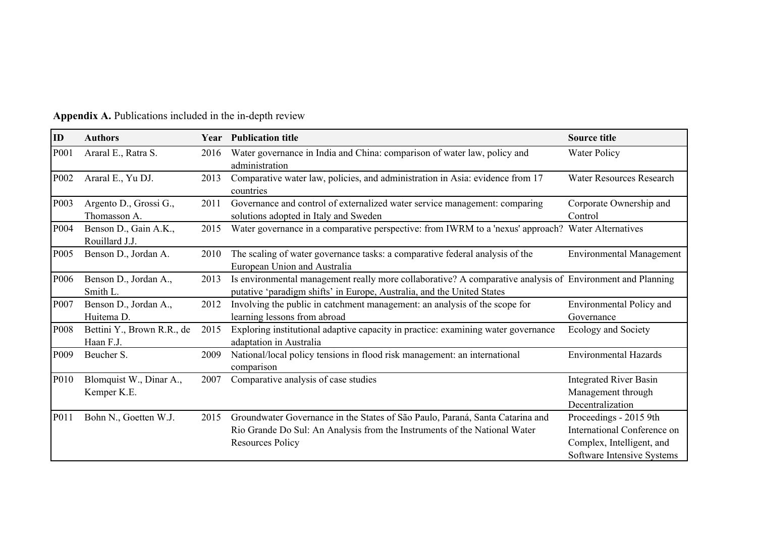| ID               | <b>Authors</b>                          | Year | <b>Publication title</b>                                                                                                                                                              | Source title                                                                                                     |
|------------------|-----------------------------------------|------|---------------------------------------------------------------------------------------------------------------------------------------------------------------------------------------|------------------------------------------------------------------------------------------------------------------|
| P <sub>001</sub> | Araral E., Ratra S.                     | 2016 | Water governance in India and China: comparison of water law, policy and<br>administration                                                                                            | <b>Water Policy</b>                                                                                              |
| P002             | Araral E., Yu DJ.                       | 2013 | Comparative water law, policies, and administration in Asia: evidence from 17<br>countries                                                                                            | <b>Water Resources Research</b>                                                                                  |
| P003             | Argento D., Grossi G.,<br>Thomasson A.  | 2011 | Governance and control of externalized water service management: comparing<br>solutions adopted in Italy and Sweden                                                                   | Corporate Ownership and<br>Control                                                                               |
| P004             | Benson D., Gain A.K.,<br>Rouillard J.J. | 2015 | Water governance in a comparative perspective: from IWRM to a 'nexus' approach?                                                                                                       | <b>Water Alternatives</b>                                                                                        |
| P <sub>005</sub> | Benson D., Jordan A.                    | 2010 | The scaling of water governance tasks: a comparative federal analysis of the<br>European Union and Australia                                                                          | <b>Environmental Management</b>                                                                                  |
| P006             | Benson D., Jordan A.,<br>Smith L.       | 2013 | Is environmental management really more collaborative? A comparative analysis of Environment and Planning<br>putative 'paradigm shifts' in Europe, Australia, and the United States   |                                                                                                                  |
| P007             | Benson D., Jordan A.,<br>Huitema D.     | 2012 | Involving the public in catchment management: an analysis of the scope for<br>learning lessons from abroad                                                                            | <b>Environmental Policy and</b><br>Governance                                                                    |
| P008             | Bettini Y., Brown R.R., de<br>Haan F.J. | 2015 | Exploring institutional adaptive capacity in practice: examining water governance<br>adaptation in Australia                                                                          | Ecology and Society                                                                                              |
| P <sub>009</sub> | Beucher S.                              | 2009 | National/local policy tensions in flood risk management: an international<br>comparison                                                                                               | <b>Environmental Hazards</b>                                                                                     |
| P010             | Blomquist W., Dinar A.,<br>Kemper K.E.  | 2007 | Comparative analysis of case studies                                                                                                                                                  | <b>Integrated River Basin</b><br>Management through<br>Decentralization                                          |
| P <sub>011</sub> | Bohn N., Goetten W.J.                   | 2015 | Groundwater Governance in the States of São Paulo, Paraná, Santa Catarina and<br>Rio Grande Do Sul: An Analysis from the Instruments of the National Water<br><b>Resources Policy</b> | Proceedings - 2015 9th<br>International Conference on<br>Complex, Intelligent, and<br>Software Intensive Systems |

**Appendix A.** Publications included in the in-depth review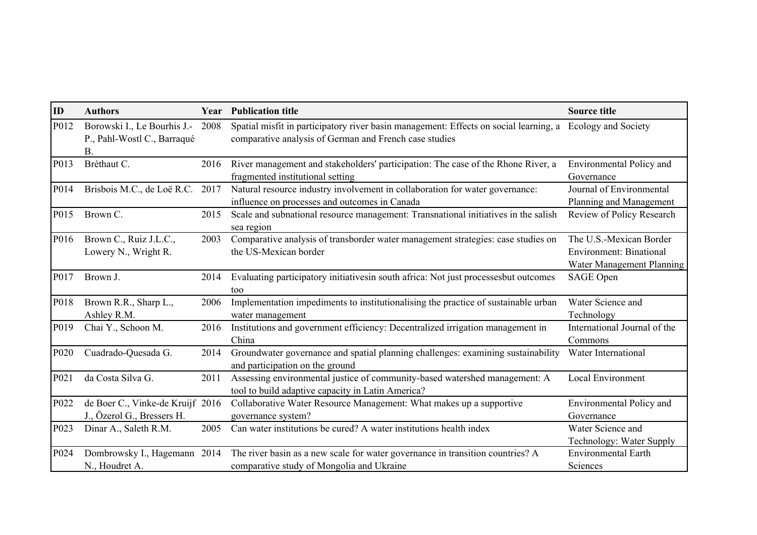| ID                | <b>Authors</b>                                                   | Year | <b>Publication title</b>                                                                                                                        | <b>Source title</b>                                                                    |
|-------------------|------------------------------------------------------------------|------|-------------------------------------------------------------------------------------------------------------------------------------------------|----------------------------------------------------------------------------------------|
| P012              | Borowski I., Le Bourhis J.-<br>P., Pahl-Wostl C., Barraqué<br>B. | 2008 | Spatial misfit in participatory river basin management: Effects on social learning, a<br>comparative analysis of German and French case studies | <b>Ecology and Society</b>                                                             |
| P013              | Bréthaut C.                                                      | 2016 | River management and stakeholders' participation: The case of the Rhone River, a<br>fragmented institutional setting                            | Environmental Policy and<br>Governance                                                 |
| P014              | Brisbois M.C., de Loë R.C.                                       | 2017 | Natural resource industry involvement in collaboration for water governance:<br>influence on processes and outcomes in Canada                   | Journal of Environmental<br>Planning and Management                                    |
| P015              | Brown C.                                                         | 2015 | Scale and subnational resource management: Transnational initiatives in the salish<br>sea region                                                | Review of Policy Research                                                              |
| P016              | Brown C., Ruiz J.L.C.,<br>Lowery N., Wright R.                   | 2003 | Comparative analysis of transborder water management strategies: case studies on<br>the US-Mexican border                                       | The U.S.-Mexican Border<br><b>Environment: Binational</b><br>Water Management Planning |
| P017              | Brown J.                                                         | 2014 | Evaluating participatory initiatives in south africa: Not just processes but outcomes<br>too                                                    | <b>SAGE</b> Open                                                                       |
| P018              | Brown R.R., Sharp L.,<br>Ashley R.M.                             | 2006 | Implementation impediments to institutionalising the practice of sustainable urban<br>water management                                          | Water Science and<br>Technology                                                        |
| P <sub>0</sub> 19 | Chai Y., Schoon M.                                               | 2016 | Institutions and government efficiency: Decentralized irrigation management in<br>China                                                         | International Journal of the<br>Commons                                                |
| P <sub>020</sub>  | Cuadrado-Quesada G.                                              | 2014 | Groundwater governance and spatial planning challenges: examining sustainability<br>and participation on the ground                             | Water International                                                                    |
| P021              | da Costa Silva G.                                                | 2011 | Assessing environmental justice of community-based watershed management: A<br>tool to build adaptive capacity in Latin America?                 | <b>Local Environment</b>                                                               |
| P022              | de Boer C., Vinke-de Kruijf 2016<br>J., Özerol G., Bressers H.   |      | Collaborative Water Resource Management: What makes up a supportive<br>governance system?                                                       | Environmental Policy and<br>Governance                                                 |
| P023              | Dinar A., Saleth R.M.                                            | 2005 | Can water institutions be cured? A water institutions health index                                                                              | Water Science and<br>Technology: Water Supply                                          |
| P024              | Dombrowsky I., Hagemann 2014<br>N., Houdret A.                   |      | The river basin as a new scale for water governance in transition countries? A<br>comparative study of Mongolia and Ukraine                     | <b>Environmental Earth</b><br>Sciences                                                 |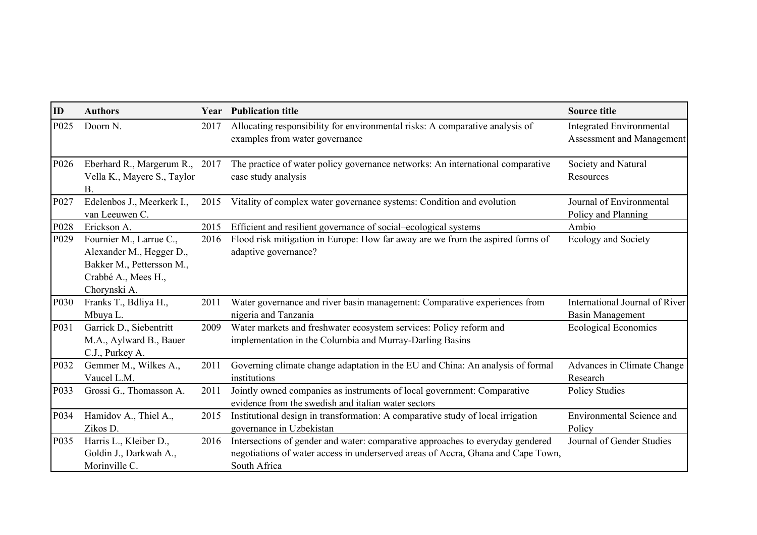| ID                | <b>Authors</b>                                                                   | Year | <b>Publication title</b>                                                                                                                                                           | <b>Source title</b>                                          |
|-------------------|----------------------------------------------------------------------------------|------|------------------------------------------------------------------------------------------------------------------------------------------------------------------------------------|--------------------------------------------------------------|
| P <sub>025</sub>  | Doorn N.                                                                         | 2017 | Allocating responsibility for environmental risks: A comparative analysis of<br>examples from water governance                                                                     | <b>Integrated Environmental</b><br>Assessment and Management |
| P026              | Eberhard R., Margerum R., 2017<br>Vella K., Mayere S., Taylor<br>Β.              |      | The practice of water policy governance networks: An international comparative<br>case study analysis                                                                              | Society and Natural<br>Resources                             |
| P <sub>027</sub>  | Edelenbos J., Meerkerk I.,<br>van Leeuwen C.                                     | 2015 | Vitality of complex water governance systems: Condition and evolution                                                                                                              | Journal of Environmental<br>Policy and Planning              |
| P028              | Erickson A.                                                                      | 2015 | Efficient and resilient governance of social-ecological systems                                                                                                                    | Ambio                                                        |
| P029              | Fournier M., Larrue C.,<br>Alexander M., Hegger D.,<br>Bakker M., Pettersson M., | 2016 | Flood risk mitigation in Europe: How far away are we from the aspired forms of<br>adaptive governance?                                                                             | Ecology and Society                                          |
|                   | Crabbé A., Mees H.,                                                              |      |                                                                                                                                                                                    |                                                              |
|                   | Chorynski A.                                                                     |      |                                                                                                                                                                                    |                                                              |
| P <sub>0</sub> 30 | Franks T., Bdliya H.,<br>Mbuya L.                                                | 2011 | Water governance and river basin management: Comparative experiences from<br>nigeria and Tanzania                                                                                  | International Journal of River<br><b>Basin Management</b>    |
| P031              | Garrick D., Siebentritt<br>M.A., Aylward B., Bauer<br>C.J., Purkey A.            | 2009 | Water markets and freshwater ecosystem services: Policy reform and<br>implementation in the Columbia and Murray-Darling Basins                                                     | <b>Ecological Economics</b>                                  |
| P032              | Gemmer M., Wilkes A.,<br>Vaucel L.M.                                             | 2011 | Governing climate change adaptation in the EU and China: An analysis of formal<br>institutions                                                                                     | Advances in Climate Change<br>Research                       |
| P033              | Grossi G., Thomasson A.                                                          | 2011 | Jointly owned companies as instruments of local government: Comparative<br>evidence from the swedish and italian water sectors                                                     | <b>Policy Studies</b>                                        |
| P034              | Hamidov A., Thiel A.,<br>Zikos D.                                                | 2015 | Institutional design in transformation: A comparative study of local irrigation<br>governance in Uzbekistan                                                                        | <b>Environmental Science and</b><br>Policy                   |
| P <sub>0</sub> 35 | Harris L., Kleiber D.,<br>Goldin J., Darkwah A.,<br>Morinville C.                | 2016 | Intersections of gender and water: comparative approaches to everyday gendered<br>negotiations of water access in underserved areas of Accra, Ghana and Cape Town,<br>South Africa | Journal of Gender Studies                                    |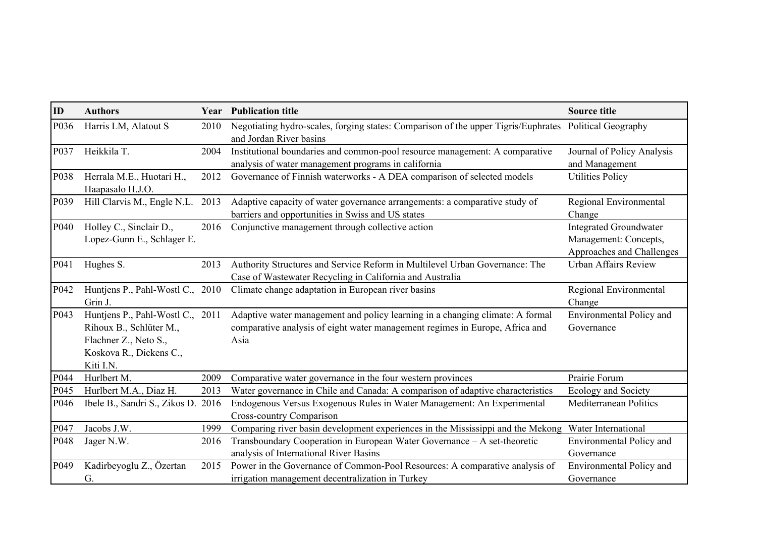| ID   | <b>Authors</b>                     |      | <b>Year</b> Publication title                                                                                 | <b>Source title</b>             |
|------|------------------------------------|------|---------------------------------------------------------------------------------------------------------------|---------------------------------|
| P036 | Harris LM, Alatout S               | 2010 | Negotiating hydro-scales, forging states: Comparison of the upper Tigris/Euphrates<br>and Jordan River basins | Political Geography             |
| P037 | Heikkila T.                        | 2004 | Institutional boundaries and common-pool resource management: A comparative                                   | Journal of Policy Analysis      |
|      |                                    |      | analysis of water management programs in california                                                           | and Management                  |
| P038 | Herrala M.E., Huotari H.,          | 2012 | Governance of Finnish waterworks - A DEA comparison of selected models                                        | <b>Utilities Policy</b>         |
|      | Haapasalo H.J.O.                   |      |                                                                                                               |                                 |
| P039 | Hill Clarvis M., Engle N.L.        | 2013 | Adaptive capacity of water governance arrangements: a comparative study of                                    | Regional Environmental          |
|      |                                    |      | barriers and opportunities in Swiss and US states                                                             | Change                          |
| P040 | Holley C., Sinclair D.,            | 2016 | Conjunctive management through collective action                                                              | <b>Integrated Groundwater</b>   |
|      | Lopez-Gunn E., Schlager E.         |      |                                                                                                               | Management: Concepts,           |
|      |                                    |      |                                                                                                               | Approaches and Challenges       |
| P041 | Hughes S.                          | 2013 | Authority Structures and Service Reform in Multilevel Urban Governance: The                                   | <b>Urban Affairs Review</b>     |
|      |                                    |      | Case of Wastewater Recycling in California and Australia                                                      |                                 |
| P042 | Huntjens P., Pahl-Wostl C., 2010   |      | Climate change adaptation in European river basins                                                            | Regional Environmental          |
|      | Grin J.                            |      |                                                                                                               | Change                          |
| P043 | Huntjens P., Pahl-Wostl C., 2011   |      | Adaptive water management and policy learning in a changing climate: A formal                                 | Environmental Policy and        |
|      | Rihoux B., Schlüter M.,            |      | comparative analysis of eight water management regimes in Europe, Africa and                                  | Governance                      |
|      | Flachner Z., Neto S.,              |      | Asia                                                                                                          |                                 |
|      | Koskova R., Dickens C.,            |      |                                                                                                               |                                 |
|      | Kiti I.N.                          |      |                                                                                                               |                                 |
| P044 | Hurlbert M.                        | 2009 | Comparative water governance in the four western provinces                                                    | Prairie Forum                   |
| P045 | Hurlbert M.A., Diaz H.             | 2013 | Water governance in Chile and Canada: A comparison of adaptive characteristics                                | <b>Ecology and Society</b>      |
| P046 | Ibele B., Sandri S., Zikos D. 2016 |      | Endogenous Versus Exogenous Rules in Water Management: An Experimental                                        | Mediterranean Politics          |
|      |                                    |      | <b>Cross-country Comparison</b>                                                                               |                                 |
| P047 | Jacobs J.W.                        | 1999 | Comparing river basin development experiences in the Mississippi and the Mekong                               | Water International             |
| P048 | Jager N.W.                         | 2016 | Transboundary Cooperation in European Water Governance - A set-theoretic                                      | Environmental Policy and        |
|      |                                    |      | analysis of International River Basins                                                                        | Governance                      |
| P049 | Kadirbeyoglu Z., Özertan           | 2015 | Power in the Governance of Common-Pool Resources: A comparative analysis of                                   | <b>Environmental Policy and</b> |
|      | G.                                 |      | irrigation management decentralization in Turkey                                                              | Governance                      |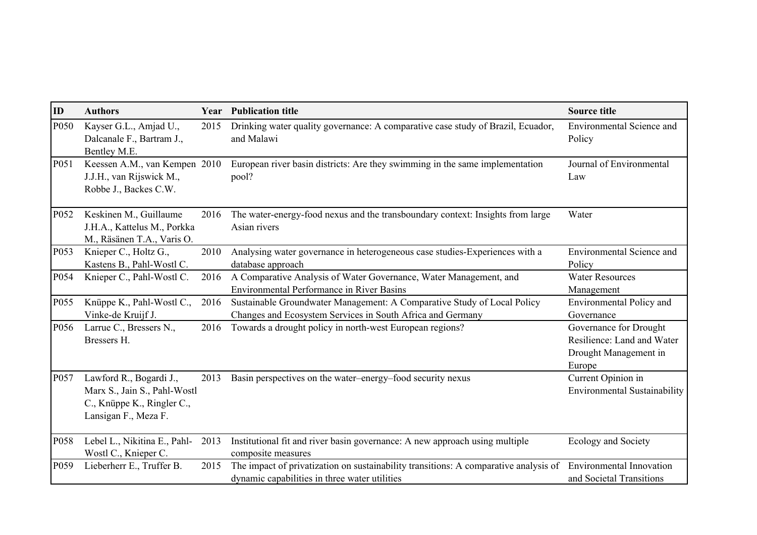| ID               | <b>Authors</b>                                                                                                | Year | <b>Publication title</b>                                                                                                              | <b>Source title</b>                                                                     |
|------------------|---------------------------------------------------------------------------------------------------------------|------|---------------------------------------------------------------------------------------------------------------------------------------|-----------------------------------------------------------------------------------------|
| P050             | Kayser G.L., Amjad U.,<br>Dalcanale F., Bartram J.,<br>Bentley M.E.                                           | 2015 | Drinking water quality governance: A comparative case study of Brazil, Ecuador,<br>and Malawi                                         | <b>Environmental Science and</b><br>Policy                                              |
| P <sub>051</sub> | Keessen A.M., van Kempen 2010<br>J.J.H., van Rijswick M.,<br>Robbe J., Backes C.W.                            |      | European river basin districts: Are they swimming in the same implementation<br>pool?                                                 | Journal of Environmental<br>Law                                                         |
| P052             | Keskinen M., Guillaume<br>J.H.A., Kattelus M., Porkka<br>M., Räsänen T.A., Varis O.                           |      | 2016 The water-energy-food nexus and the transboundary context: Insights from large<br>Asian rivers                                   | Water                                                                                   |
| P053             | Knieper C., Holtz G.,<br>Kastens B., Pahl-Wostl C.                                                            | 2010 | Analysing water governance in heterogeneous case studies-Experiences with a<br>database approach                                      | <b>Environmental Science and</b><br>Policy                                              |
| P054             | Knieper C., Pahl-Wostl C.                                                                                     | 2016 | A Comparative Analysis of Water Governance, Water Management, and<br><b>Environmental Performance in River Basins</b>                 | <b>Water Resources</b><br>Management                                                    |
| P055             | Knüppe K., Pahl-Wostl C.,<br>Vinke-de Kruijf J.                                                               | 2016 | Sustainable Groundwater Management: A Comparative Study of Local Policy<br>Changes and Ecosystem Services in South Africa and Germany | <b>Environmental Policy and</b><br>Governance                                           |
| P056             | Larrue C., Bressers N.,<br>Bressers H.                                                                        | 2016 | Towards a drought policy in north-west European regions?                                                                              | Governance for Drought<br>Resilience: Land and Water<br>Drought Management in<br>Europe |
| P057             | Lawford R., Bogardi J.,<br>Marx S., Jain S., Pahl-Wostl<br>C., Knüppe K., Ringler C.,<br>Lansigan F., Meza F. | 2013 | Basin perspectives on the water-energy-food security nexus                                                                            | Current Opinion in<br><b>Environmental Sustainability</b>                               |
| P058             | Lebel L., Nikitina E., Pahl-<br>Wostl C., Knieper C.                                                          | 2013 | Institutional fit and river basin governance: A new approach using multiple<br>composite measures                                     | Ecology and Society                                                                     |
| P059             | Lieberherr E., Truffer B.                                                                                     | 2015 | The impact of privatization on sustainability transitions: A comparative analysis of<br>dynamic capabilities in three water utilities | <b>Environmental Innovation</b><br>and Societal Transitions                             |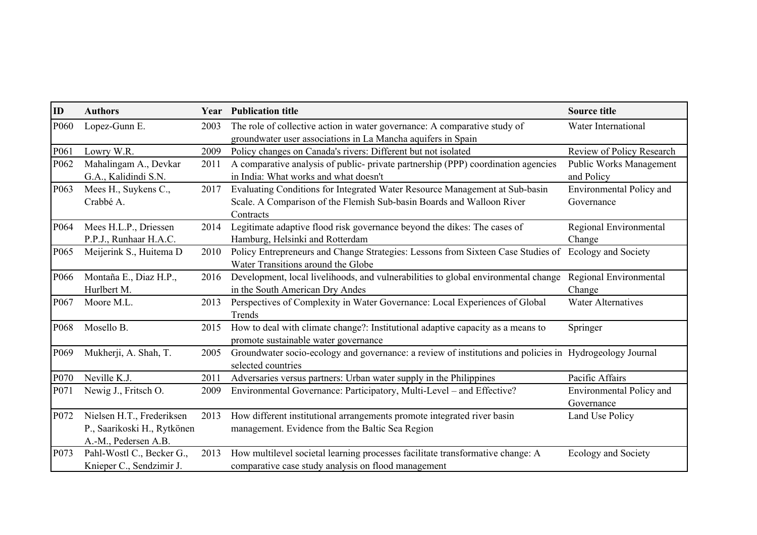| ID               | <b>Authors</b>              |      | <b>Year</b> Publication title                                                                           | <b>Source title</b>             |
|------------------|-----------------------------|------|---------------------------------------------------------------------------------------------------------|---------------------------------|
| P060             | Lopez-Gunn E.               | 2003 | The role of collective action in water governance: A comparative study of                               | Water International             |
|                  |                             |      | groundwater user associations in La Mancha aquifers in Spain                                            |                                 |
| P061             | Lowry W.R.                  | 2009 | Policy changes on Canada's rivers: Different but not isolated                                           | Review of Policy Research       |
| P062             | Mahalingam A., Devkar       | 2011 | A comparative analysis of public- private partnership (PPP) coordination agencies                       | <b>Public Works Management</b>  |
|                  | G.A., Kalidindi S.N.        |      | in India: What works and what doesn't                                                                   | and Policy                      |
| P063             | Mees H., Suykens C.,        | 2017 | Evaluating Conditions for Integrated Water Resource Management at Sub-basin                             | Environmental Policy and        |
|                  | Crabbé A.                   |      | Scale. A Comparison of the Flemish Sub-basin Boards and Walloon River                                   | Governance                      |
|                  |                             |      | Contracts                                                                                               |                                 |
| P064             | Mees H.L.P., Driessen       | 2014 | Legitimate adaptive flood risk governance beyond the dikes: The cases of                                | Regional Environmental          |
|                  | P.P.J., Runhaar H.A.C.      |      | Hamburg, Helsinki and Rotterdam                                                                         | Change                          |
| P <sub>065</sub> | Meijerink S., Huitema D     | 2010 | Policy Entrepreneurs and Change Strategies: Lessons from Sixteen Case Studies of                        | <b>Ecology and Society</b>      |
|                  |                             |      | Water Transitions around the Globe                                                                      |                                 |
| P <sub>066</sub> | Montaña E., Diaz H.P.,      | 2016 | Development, local livelihoods, and vulnerabilities to global environmental change                      | Regional Environmental          |
|                  | Hurlbert M.                 |      | in the South American Dry Andes                                                                         | Change                          |
| P <sub>067</sub> | Moore M.L.                  | 2013 | Perspectives of Complexity in Water Governance: Local Experiences of Global                             | <b>Water Alternatives</b>       |
|                  |                             |      | Trends                                                                                                  |                                 |
| P068             | Mosello B.                  | 2015 | How to deal with climate change?: Institutional adaptive capacity as a means to                         | Springer                        |
|                  |                             |      | promote sustainable water governance                                                                    |                                 |
| P <sub>069</sub> | Mukherji, A. Shah, T.       | 2005 | Groundwater socio-ecology and governance: a review of institutions and policies in Hydrogeology Journal |                                 |
|                  |                             |      | selected countries                                                                                      |                                 |
| P070             | Neville K.J.                | 2011 | Adversaries versus partners: Urban water supply in the Philippines                                      | Pacific Affairs                 |
| P071             | Newig J., Fritsch O.        | 2009 | Environmental Governance: Participatory, Multi-Level - and Effective?                                   | <b>Environmental Policy and</b> |
|                  |                             |      |                                                                                                         | Governance                      |
| P072             | Nielsen H.T., Frederiksen   | 2013 | How different institutional arrangements promote integrated river basin                                 | Land Use Policy                 |
|                  | P., Saarikoski H., Rytkönen |      | management. Evidence from the Baltic Sea Region                                                         |                                 |
|                  | A.-M., Pedersen A.B.        |      |                                                                                                         |                                 |
| P073             | Pahl-Wostl C., Becker G.,   | 2013 | How multilevel societal learning processes facilitate transformative change: A                          | Ecology and Society             |
|                  | Knieper C., Sendzimir J.    |      | comparative case study analysis on flood management                                                     |                                 |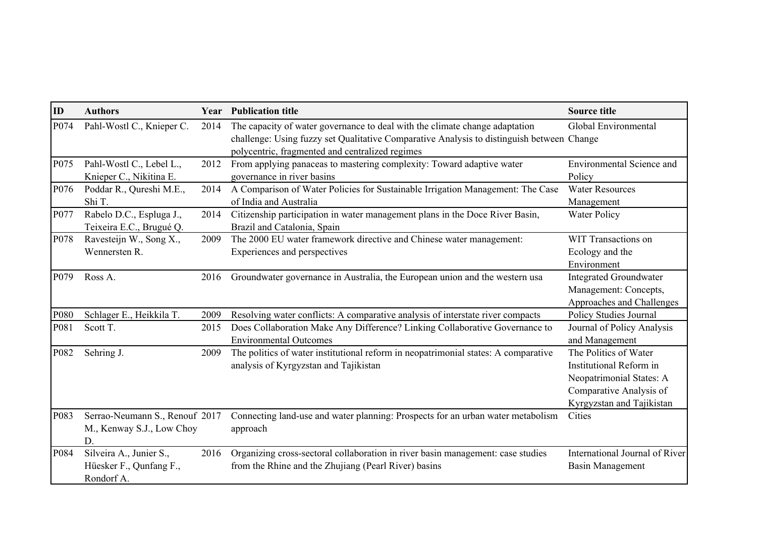| ID   | <b>Authors</b>                                                    |      | <b>Year</b> Publication title                                                                                                                                                                                               | <b>Source title</b>                                                                                                                  |
|------|-------------------------------------------------------------------|------|-----------------------------------------------------------------------------------------------------------------------------------------------------------------------------------------------------------------------------|--------------------------------------------------------------------------------------------------------------------------------------|
| P074 | Pahl-Wostl C., Knieper C.                                         | 2014 | The capacity of water governance to deal with the climate change adaptation<br>challenge: Using fuzzy set Qualitative Comparative Analysis to distinguish between Change<br>polycentric, fragmented and centralized regimes | Global Environmental                                                                                                                 |
| P075 | Pahl-Wostl C., Lebel L.,<br>Knieper C., Nikitina E.               | 2012 | From applying panaceas to mastering complexity: Toward adaptive water<br>governance in river basins                                                                                                                         | Environmental Science and<br>Policy                                                                                                  |
| P076 | Poddar R., Qureshi M.E.,<br>Shi T.                                | 2014 | A Comparison of Water Policies for Sustainable Irrigation Management: The Case<br>of India and Australia                                                                                                                    | <b>Water Resources</b><br>Management                                                                                                 |
| P077 | Rabelo D.C., Espluga J.,<br>Teixeira E.C., Brugué Q.              | 2014 | Citizenship participation in water management plans in the Doce River Basin,<br>Brazil and Catalonia, Spain                                                                                                                 | <b>Water Policy</b>                                                                                                                  |
| P078 | Ravesteijn W., Song X.,<br>Wennersten R.                          | 2009 | The 2000 EU water framework directive and Chinese water management:<br>Experiences and perspectives                                                                                                                         | WIT Transactions on<br>Ecology and the<br>Environment                                                                                |
| P079 | Ross A.                                                           | 2016 | Groundwater governance in Australia, the European union and the western usa                                                                                                                                                 | <b>Integrated Groundwater</b><br>Management: Concepts,<br>Approaches and Challenges                                                  |
| P080 | Schlager E., Heikkila T.                                          | 2009 | Resolving water conflicts: A comparative analysis of interstate river compacts                                                                                                                                              | Policy Studies Journal                                                                                                               |
| P081 | Scott T.                                                          | 2015 | Does Collaboration Make Any Difference? Linking Collaborative Governance to<br><b>Environmental Outcomes</b>                                                                                                                | Journal of Policy Analysis<br>and Management                                                                                         |
| P082 | Sehring J.                                                        | 2009 | The politics of water institutional reform in neopatrimonial states: A comparative<br>analysis of Kyrgyzstan and Tajikistan                                                                                                 | The Politics of Water<br>Institutional Reform in<br>Neopatrimonial States: A<br>Comparative Analysis of<br>Kyrgyzstan and Tajikistan |
| P083 | Serrao-Neumann S., Renouf 2017<br>M., Kenway S.J., Low Choy<br>D. |      | Connecting land-use and water planning: Prospects for an urban water metabolism<br>approach                                                                                                                                 | Cities                                                                                                                               |
| P084 | Silveira A., Junier S.,<br>Hüesker F., Qunfang F.,<br>Rondorf A.  | 2016 | Organizing cross-sectoral collaboration in river basin management: case studies<br>from the Rhine and the Zhujiang (Pearl River) basins                                                                                     | International Journal of River<br>Basin Management                                                                                   |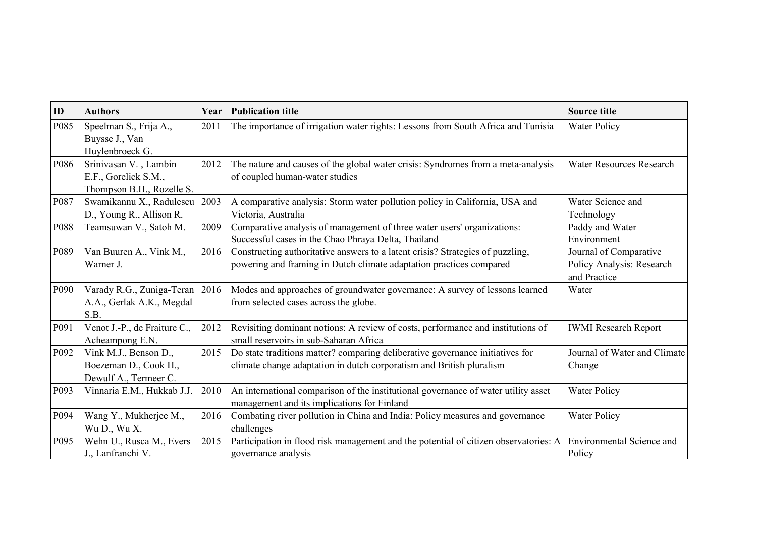| ID   | <b>Authors</b>                 |      | <b>Year</b> Publication title                                                                                  | <b>Source title</b>             |
|------|--------------------------------|------|----------------------------------------------------------------------------------------------------------------|---------------------------------|
| P085 | Speelman S., Frija A.,         | 2011 | The importance of irrigation water rights: Lessons from South Africa and Tunisia                               | <b>Water Policy</b>             |
|      | Buysse J., Van                 |      |                                                                                                                |                                 |
|      | Huylenbroeck G.                |      |                                                                                                                |                                 |
| P086 | Srinivasan V., Lambin          | 2012 | The nature and causes of the global water crisis: Syndromes from a meta-analysis                               | <b>Water Resources Research</b> |
|      | E.F., Gorelick S.M.,           |      | of coupled human-water studies                                                                                 |                                 |
|      | Thompson B.H., Rozelle S.      |      |                                                                                                                |                                 |
| P087 | Swamikannu X., Radulescu       | 2003 | A comparative analysis: Storm water pollution policy in California, USA and                                    | Water Science and               |
|      | D., Young R., Allison R.       |      | Victoria, Australia                                                                                            | Technology                      |
| P088 | Teamsuwan V., Satoh M.         | 2009 | Comparative analysis of management of three water users' organizations:                                        | Paddy and Water                 |
|      |                                |      | Successful cases in the Chao Phraya Delta, Thailand                                                            | Environment                     |
| P089 | Van Buuren A., Vink M.,        | 2016 | Constructing authoritative answers to a latent crisis? Strategies of puzzling,                                 | Journal of Comparative          |
|      | Warner J.                      |      | powering and framing in Dutch climate adaptation practices compared                                            | Policy Analysis: Research       |
|      |                                |      |                                                                                                                | and Practice                    |
| P090 | Varady R.G., Zuniga-Teran 2016 |      | Modes and approaches of groundwater governance: A survey of lessons learned                                    | Water                           |
|      | A.A., Gerlak A.K., Megdal      |      | from selected cases across the globe.                                                                          |                                 |
|      | S.B.                           |      |                                                                                                                |                                 |
| P091 | Venot J.-P., de Fraiture C.,   | 2012 | Revisiting dominant notions: A review of costs, performance and institutions of                                | <b>IWMI</b> Research Report     |
|      | Acheampong E.N.                |      | small reservoirs in sub-Saharan Africa                                                                         |                                 |
| P092 | Vink M.J., Benson D.,          | 2015 | Do state traditions matter? comparing deliberative governance initiatives for                                  | Journal of Water and Climate    |
|      | Boezeman D., Cook H.,          |      | climate change adaptation in dutch corporatism and British pluralism                                           | Change                          |
|      | Dewulf A., Termeer C.          |      |                                                                                                                |                                 |
| P093 | Vinnaria E.M., Hukkab J.J.     | 2010 | An international comparison of the institutional governance of water utility asset                             | <b>Water Policy</b>             |
|      |                                |      | management and its implications for Finland                                                                    |                                 |
| P094 | Wang Y., Mukherjee M.,         | 2016 | Combating river pollution in China and India: Policy measures and governance                                   | <b>Water Policy</b>             |
|      | Wu D., Wu X.                   |      | challenges                                                                                                     |                                 |
| P095 | Wehn U., Rusca M., Evers       | 2015 | Participation in flood risk management and the potential of citizen observatories: A Environmental Science and |                                 |
|      | J., Lanfranchi V.              |      | governance analysis                                                                                            | Policy                          |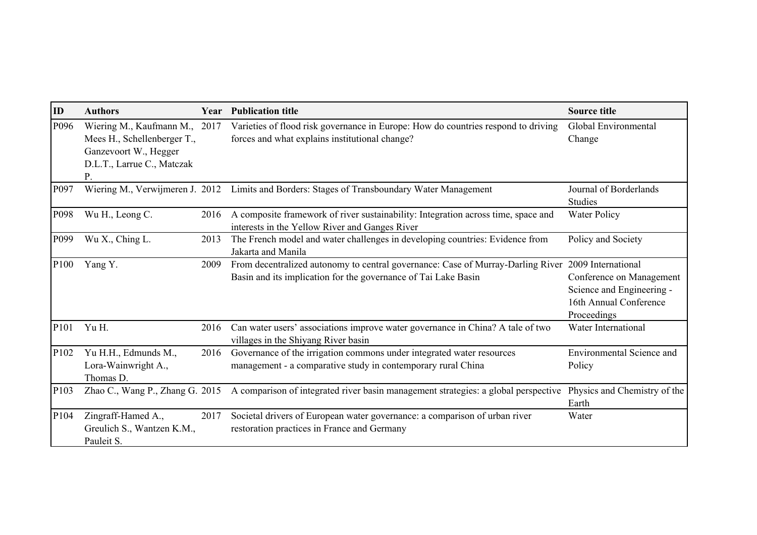| ID   | <b>Authors</b>                                                                                                      |      | <b>Year</b> Publication title                                                                                                                     | <b>Source title</b>                                                                                                  |
|------|---------------------------------------------------------------------------------------------------------------------|------|---------------------------------------------------------------------------------------------------------------------------------------------------|----------------------------------------------------------------------------------------------------------------------|
| P096 | Wiering M., Kaufmann M., 2017<br>Mees H., Schellenberger T.,<br>Ganzevoort W., Hegger<br>D.L.T., Larrue C., Matczak |      | Varieties of flood risk governance in Europe: How do countries respond to driving<br>forces and what explains institutional change?               | Global Environmental<br>Change                                                                                       |
| P097 | P.                                                                                                                  |      | Wiering M., Verwijmeren J. 2012 Limits and Borders: Stages of Transboundary Water Management                                                      | Journal of Borderlands<br><b>Studies</b>                                                                             |
| P098 | Wu H., Leong C.                                                                                                     | 2016 | A composite framework of river sustainability: Integration across time, space and<br>interests in the Yellow River and Ganges River               | <b>Water Policy</b>                                                                                                  |
| P099 | Wu X., Ching L.                                                                                                     | 2013 | The French model and water challenges in developing countries: Evidence from<br>Jakarta and Manila                                                | Policy and Society                                                                                                   |
| P100 | Yang Y.                                                                                                             | 2009 | From decentralized autonomy to central governance: Case of Murray-Darling River<br>Basin and its implication for the governance of Tai Lake Basin | 2009 International<br>Conference on Management<br>Science and Engineering -<br>16th Annual Conference<br>Proceedings |
| P101 | Yu H.                                                                                                               | 2016 | Can water users' associations improve water governance in China? A tale of two<br>villages in the Shiyang River basin                             | Water International                                                                                                  |
| P102 | Yu H.H., Edmunds M.,<br>Lora-Wainwright A.,<br>Thomas D.                                                            | 2016 | Governance of the irrigation commons under integrated water resources<br>management - a comparative study in contemporary rural China             | <b>Environmental Science and</b><br>Policy                                                                           |
| P103 | Zhao C., Wang P., Zhang G. 2015                                                                                     |      | A comparison of integrated river basin management strategies: a global perspective                                                                | Physics and Chemistry of the<br>Earth                                                                                |
| P104 | Zingraff-Hamed A.,<br>Greulich S., Wantzen K.M.,<br>Pauleit S.                                                      | 2017 | Societal drivers of European water governance: a comparison of urban river<br>restoration practices in France and Germany                         | Water                                                                                                                |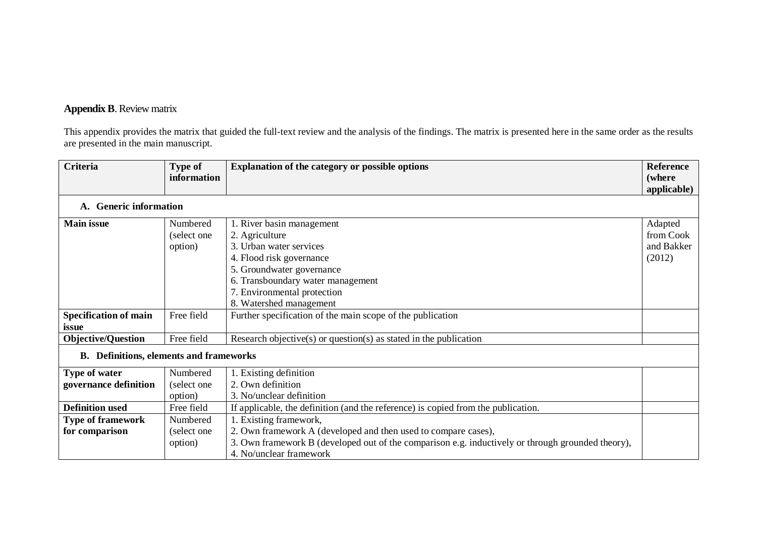## **Appendix B**. Review matrix

This appendix provides the matrix that guided the full-text review and the analysis of the findings. The matrix is presented here in the same order as the results are presented in the main manuscript.

| <b>Criteria</b>                                | <b>Type of</b> | <b>Explanation of the category or possible options</b>                                            | <b>Reference</b> |
|------------------------------------------------|----------------|---------------------------------------------------------------------------------------------------|------------------|
|                                                | information    |                                                                                                   | (where           |
|                                                |                |                                                                                                   | applicable)      |
| A. Generic information                         |                |                                                                                                   |                  |
| <b>Main issue</b>                              | Numbered       | 1. River basin management                                                                         | Adapted          |
|                                                | (select one    | 2. Agriculture                                                                                    | from Cook        |
|                                                | option)        | 3. Urban water services                                                                           | and Bakker       |
|                                                |                | 4. Flood risk governance                                                                          | (2012)           |
|                                                |                | 5. Groundwater governance                                                                         |                  |
|                                                |                | 6. Transboundary water management                                                                 |                  |
|                                                |                | 7. Environmental protection                                                                       |                  |
|                                                |                | 8. Watershed management                                                                           |                  |
| <b>Specification of main</b>                   | Free field     | Further specification of the main scope of the publication                                        |                  |
| issue                                          |                |                                                                                                   |                  |
| <b>Objective/Question</b>                      | Free field     | Research objective( $s$ ) or question( $s$ ) as stated in the publication                         |                  |
| <b>B.</b> Definitions, elements and frameworks |                |                                                                                                   |                  |
| Type of water                                  | Numbered       | 1. Existing definition                                                                            |                  |
| governance definition                          | (select one    | 2. Own definition                                                                                 |                  |
|                                                | option)        | 3. No/unclear definition                                                                          |                  |
| <b>Definition</b> used                         | Free field     | If applicable, the definition (and the reference) is copied from the publication.                 |                  |
| <b>Type of framework</b>                       | Numbered       | 1. Existing framework,                                                                            |                  |
| for comparison                                 | (select one)   | 2. Own framework A (developed and then used to compare cases),                                    |                  |
|                                                | option)        | 3. Own framework B (developed out of the comparison e.g. inductively or through grounded theory), |                  |
|                                                |                | 4. No/unclear framework                                                                           |                  |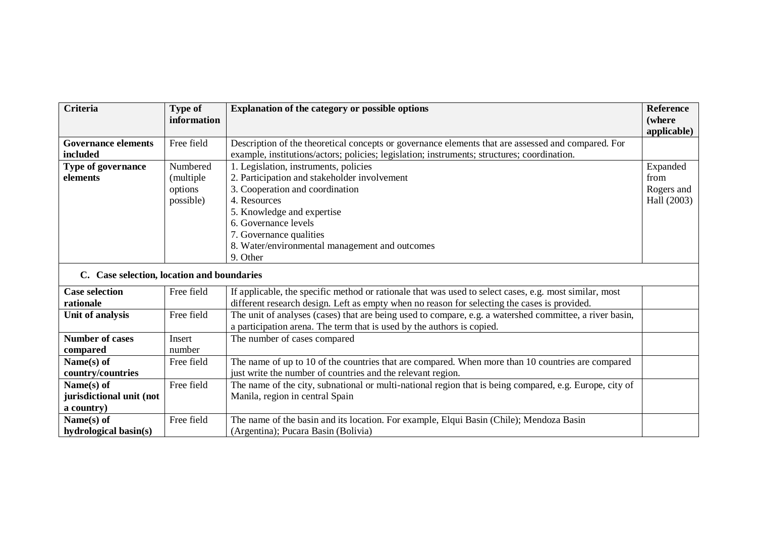| <b>Criteria</b>                            | Type of<br>information | <b>Explanation of the category or possible options</b>                                                  | <b>Reference</b><br>(where |  |
|--------------------------------------------|------------------------|---------------------------------------------------------------------------------------------------------|----------------------------|--|
|                                            |                        |                                                                                                         | applicable)                |  |
| <b>Governance elements</b>                 | Free field             | Description of the theoretical concepts or governance elements that are assessed and compared. For      |                            |  |
| included                                   |                        | example, institutions/actors; policies; legislation; instruments; structures; coordination.             |                            |  |
| <b>Type of governance</b>                  | Numbered               | 1. Legislation, instruments, policies                                                                   | Expanded                   |  |
| elements                                   | (multiple)             | 2. Participation and stakeholder involvement                                                            | from                       |  |
|                                            | options                | 3. Cooperation and coordination                                                                         | Rogers and                 |  |
|                                            | possible)              | 4. Resources                                                                                            | Hall (2003)                |  |
|                                            |                        | 5. Knowledge and expertise                                                                              |                            |  |
|                                            |                        | 6. Governance levels                                                                                    |                            |  |
|                                            |                        | 7. Governance qualities                                                                                 |                            |  |
|                                            |                        | 8. Water/environmental management and outcomes                                                          |                            |  |
|                                            |                        | 9. Other                                                                                                |                            |  |
| C. Case selection, location and boundaries |                        |                                                                                                         |                            |  |
| <b>Case selection</b>                      | Free field             | If applicable, the specific method or rationale that was used to select cases, e.g. most similar, most  |                            |  |
| rationale                                  |                        | different research design. Left as empty when no reason for selecting the cases is provided.            |                            |  |
| Unit of analysis                           | Free field             | The unit of analyses (cases) that are being used to compare, e.g. a watershed committee, a river basin, |                            |  |
|                                            |                        | a participation arena. The term that is used by the authors is copied.                                  |                            |  |
| <b>Number of cases</b>                     | <b>Insert</b>          | The number of cases compared                                                                            |                            |  |
| compared                                   | number                 |                                                                                                         |                            |  |
| Name $(s)$ of                              | Free field             | The name of up to 10 of the countries that are compared. When more than 10 countries are compared       |                            |  |
| country/countries                          |                        | just write the number of countries and the relevant region.                                             |                            |  |
| Name(s) of                                 | Free field             | The name of the city, subnational or multi-national region that is being compared, e.g. Europe, city of |                            |  |
| jurisdictional unit (not                   |                        | Manila, region in central Spain                                                                         |                            |  |
| a country)                                 |                        |                                                                                                         |                            |  |
| Name $(s)$ of                              | Free field             | The name of the basin and its location. For example, Elqui Basin (Chile); Mendoza Basin                 |                            |  |
| hydrological basin(s)                      |                        | (Argentina); Pucara Basin (Bolivia)                                                                     |                            |  |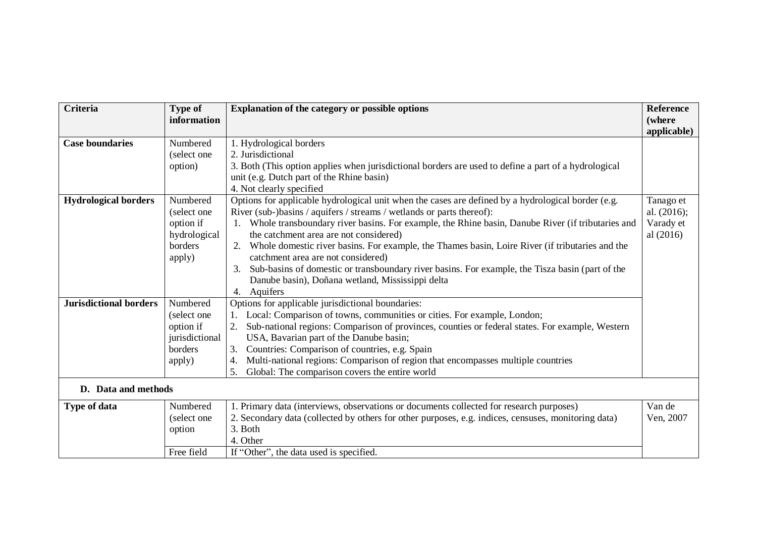| <b>Criteria</b>               | <b>Type of</b><br>information | <b>Explanation of the category or possible options</b>                                                | <b>Reference</b><br>(where) |
|-------------------------------|-------------------------------|-------------------------------------------------------------------------------------------------------|-----------------------------|
| <b>Case boundaries</b>        | Numbered                      |                                                                                                       | applicable)                 |
|                               |                               | 1. Hydrological borders                                                                               |                             |
|                               | (select one                   | 2. Jurisdictional                                                                                     |                             |
|                               | option)                       | 3. Both (This option applies when jurisdictional borders are used to define a part of a hydrological  |                             |
|                               |                               | unit (e.g. Dutch part of the Rhine basin)                                                             |                             |
|                               |                               | 4. Not clearly specified                                                                              |                             |
| <b>Hydrological borders</b>   | Numbered                      | Options for applicable hydrological unit when the cases are defined by a hydrological border (e.g.    | Tanago et                   |
|                               | (select one                   | River (sub-)basins / aquifers / streams / wetlands or parts thereof):                                 | al. $(2016)$ ;              |
|                               | option if                     | 1. Whole transboundary river basins. For example, the Rhine basin, Danube River (if tributaries and   | Varady et                   |
|                               | hydrological                  | the catchment area are not considered)                                                                | al $(2016)$                 |
|                               | borders                       | 2. Whole domestic river basins. For example, the Thames basin, Loire River (if tributaries and the    |                             |
|                               | apply)                        | catchment area are not considered)                                                                    |                             |
|                               |                               | Sub-basins of domestic or transboundary river basins. For example, the Tisza basin (part of the<br>3. |                             |
|                               |                               | Danube basin), Doñana wetland, Mississippi delta                                                      |                             |
|                               |                               | Aquifers<br>4.                                                                                        |                             |
| <b>Jurisdictional borders</b> | Numbered                      | Options for applicable jurisdictional boundaries:                                                     |                             |
|                               | (select one                   | Local: Comparison of towns, communities or cities. For example, London;                               |                             |
|                               | option if                     | Sub-national regions: Comparison of provinces, counties or federal states. For example, Western<br>2. |                             |
|                               | jurisdictional                | USA, Bavarian part of the Danube basin;                                                               |                             |
|                               | borders                       | Countries: Comparison of countries, e.g. Spain<br>3.                                                  |                             |
|                               | apply)                        | Multi-national regions: Comparison of region that encompasses multiple countries<br>4.                |                             |
|                               |                               | 5.<br>Global: The comparison covers the entire world                                                  |                             |
| D. Data and methods           |                               |                                                                                                       |                             |
| Type of data                  | Numbered                      | 1. Primary data (interviews, observations or documents collected for research purposes)               | Van de                      |
|                               | (select one                   | 2. Secondary data (collected by others for other purposes, e.g. indices, censuses, monitoring data)   | Ven, 2007                   |
|                               | option                        | 3. Both                                                                                               |                             |
|                               |                               | 4. Other                                                                                              |                             |
|                               | Free field                    | If "Other", the data used is specified.                                                               |                             |